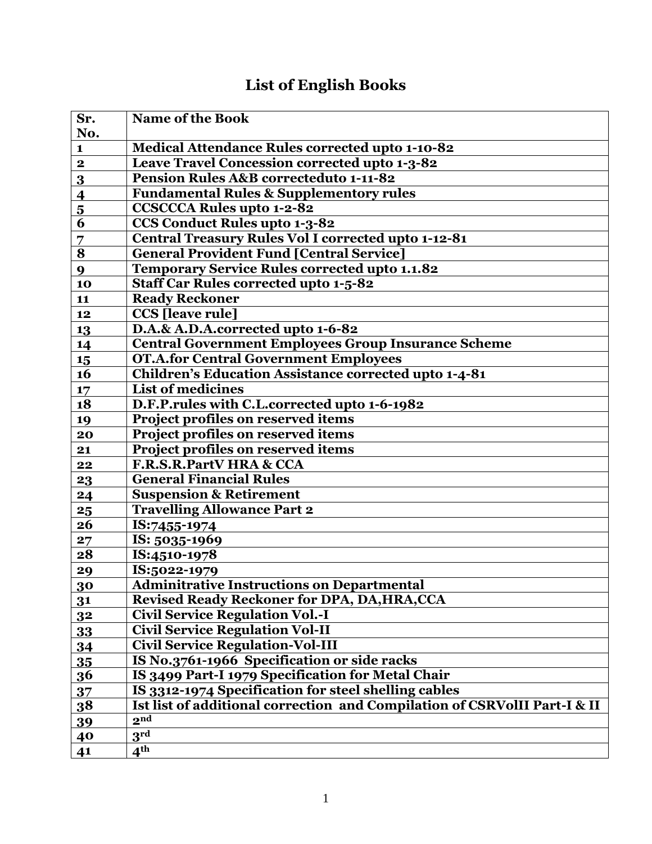## **List of English Books**

| Sr.                     | <b>Name of the Book</b>                                                   |
|-------------------------|---------------------------------------------------------------------------|
| No.                     |                                                                           |
| $\mathbf{1}$            | <b>Medical Attendance Rules corrected upto 1-10-82</b>                    |
| $\mathbf{2}$            | Leave Travel Concession corrected upto 1-3-82                             |
| 3                       | <b>Pension Rules A&amp;B correcteduto 1-11-82</b>                         |
| $\overline{\mathbf{4}}$ | <b>Fundamental Rules &amp; Supplementory rules</b>                        |
| $\overline{\mathbf{5}}$ | <b>CCSCCCA Rules upto 1-2-82</b>                                          |
| 6                       | <b>CCS Conduct Rules upto 1-3-82</b>                                      |
| 7                       | Central Treasury Rules Vol I corrected upto 1-12-81                       |
| 8                       | <b>General Provident Fund [Central Service]</b>                           |
| 9                       | Temporary Service Rules corrected upto 1.1.82                             |
| 10                      | <b>Staff Car Rules corrected upto 1-5-82</b>                              |
| 11                      | <b>Ready Reckoner</b>                                                     |
| 12                      | <b>CCS</b> [leave rule]                                                   |
| 13                      | D.A.& A.D.A.corrected upto 1-6-82                                         |
| 14                      | <b>Central Government Employees Group Insurance Scheme</b>                |
| 15                      | <b>OT.A.for Central Government Employees</b>                              |
| 16                      | <b>Children's Education Assistance corrected upto 1-4-81</b>              |
| 17                      | <b>List of medicines</b>                                                  |
| 18                      | D.F.P.rules with C.L.corrected upto 1-6-1982                              |
| 19                      | Project profiles on reserved items                                        |
| 20                      | Project profiles on reserved items                                        |
| 21                      | Project profiles on reserved items                                        |
| 22                      | F.R.S.R.PartV HRA & CCA                                                   |
| 23                      | <b>General Financial Rules</b>                                            |
| 24                      | <b>Suspension &amp; Retirement</b>                                        |
| 25                      | <b>Travelling Allowance Part 2</b>                                        |
| 26                      | IS:7455-1974                                                              |
| 27                      | IS: 5035-1969                                                             |
| 28                      | IS:4510-1978                                                              |
| 29                      | IS:5022-1979                                                              |
| 30                      | <b>Adminitrative Instructions on Departmental</b>                         |
| 31                      | <b>Revised Ready Reckoner for DPA, DA, HRA, CCA</b>                       |
| 32                      | <b>Civil Service Regulation Vol.-I</b>                                    |
| 33                      | <b>Civil Service Regulation Vol-II</b>                                    |
| 34                      | <b>Civil Service Regulation-Vol-III</b>                                   |
| 35                      | IS No.3761-1966 Specification or side racks                               |
| <b>36</b>               | IS 3499 Part-I 1979 Specification for Metal Chair                         |
| 37                      | IS 3312-1974 Specification for steel shelling cables                      |
| 38                      | Ist list of additional correction and Compilation of CSRVolII Part-I & II |
| 39                      | 2 <sub>nd</sub>                                                           |
| 40                      | $3^{\overline{\mathrm{rd}}}$                                              |
| 41                      | $4^{\text{th}}$                                                           |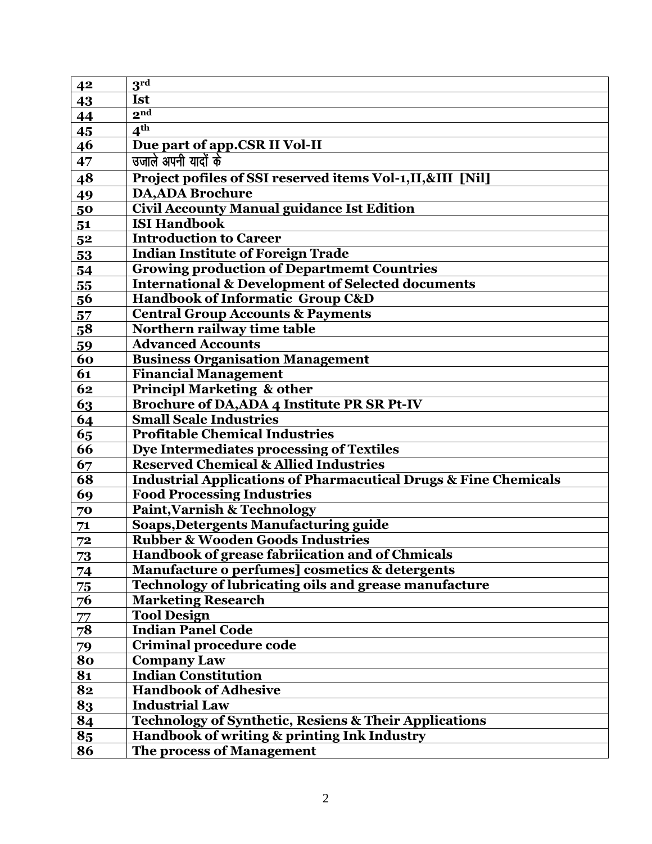| 4 <sup>2</sup> | $3^{\rm rd}$                                                               |
|----------------|----------------------------------------------------------------------------|
| 43             | <b>Ist</b>                                                                 |
| 44             | 2 <sub>nd</sub>                                                            |
| 45             | 4 <sup>th</sup>                                                            |
| 46             | Due part of app.CSR II Vol-II                                              |
| 47             | उजाले अपनी यादों के                                                        |
| 48             | Project pofiles of SSI reserved items Vol-1,II,&III [Nil]                  |
| 49             | <b>DA, ADA Brochure</b>                                                    |
| 50             | <b>Civil Accounty Manual guidance Ist Edition</b>                          |
| 51             | <b>ISI Handbook</b>                                                        |
| 52             | <b>Introduction to Career</b>                                              |
| 53             | <b>Indian Institute of Foreign Trade</b>                                   |
| 54             | <b>Growing production of Departmemt Countries</b>                          |
| 55             | <b>International &amp; Development of Selected documents</b>               |
| 56             | Handbook of Informatic Group C&D                                           |
| 57             | <b>Central Group Accounts &amp; Payments</b>                               |
| 58             | Northern railway time table                                                |
| 59             | <b>Advanced Accounts</b>                                                   |
| 60             | <b>Business Organisation Management</b>                                    |
| 61             | <b>Financial Management</b>                                                |
| 62             | <b>Principl Marketing &amp; other</b>                                      |
| 63             | <b>Brochure of DA, ADA 4 Institute PR SR Pt-IV</b>                         |
| 64             | <b>Small Scale Industries</b>                                              |
| 65             | <b>Profitable Chemical Industries</b>                                      |
| 66             | Dye Intermediates processing of Textiles                                   |
| 67             | <b>Reserved Chemical &amp; Allied Industries</b>                           |
| 68             | <b>Industrial Applications of Pharmacutical Drugs &amp; Fine Chemicals</b> |
| 69             | <b>Food Processing Industries</b>                                          |
| 70             | <b>Paint, Varnish &amp; Technology</b>                                     |
| 71             | <b>Soaps, Detergents Manufacturing guide</b>                               |
| 72             | <b>Rubber &amp; Wooden Goods Industries</b>                                |
| 73             | Handbook of grease fabriication and of Chmicals                            |
| 74             | Manufacture o perfumes] cosmetics & detergents                             |
| 75             | Technology of lubricating oils and grease manufacture                      |
| 76             | <b>Marketing Research</b>                                                  |
| 77             | <b>Tool Design</b>                                                         |
| 78             | <b>Indian Panel Code</b>                                                   |
| 79             | Criminal procedure code                                                    |
| 80             | <b>Company Law</b>                                                         |
| 81             | <b>Indian Constitution</b>                                                 |
| 82             | <b>Handbook of Adhesive</b>                                                |
| 83             | <b>Industrial Law</b>                                                      |
| 84             | <b>Technology of Synthetic, Resiens &amp; Their Applications</b>           |
| 85             | Handbook of writing & printing Ink Industry                                |
| 86             | The process of Management                                                  |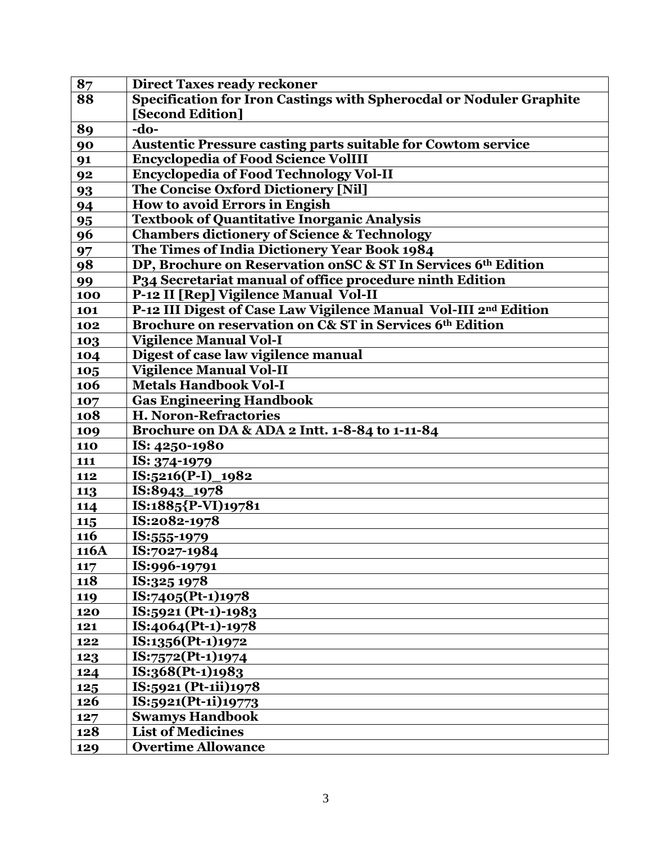| 87         | <b>Direct Taxes ready reckoner</b>                                  |
|------------|---------------------------------------------------------------------|
| 88         | Specification for Iron Castings with Spherocdal or Noduler Graphite |
|            | [Second Edition]                                                    |
| 89         | $-do-$                                                              |
| 90         | <b>Austentic Pressure casting parts suitable for Cowtom service</b> |
| 91         | <b>Encyclopedia of Food Science VolIII</b>                          |
| 92         | <b>Encyclopedia of Food Technology Vol-II</b>                       |
| 93         | The Concise Oxford Dictionery [Nil]                                 |
| 94         | How to avoid Errors in Engish                                       |
| 95         | <b>Textbook of Quantitative Inorganic Analysis</b>                  |
| 96         | <b>Chambers dictionery of Science &amp; Technology</b>              |
| 97         | The Times of India Dictionery Year Book 1984                        |
| 98         | DP, Brochure on Reservation on SC & ST In Services 6th Edition      |
| 99         | P34 Secretariat manual of office procedure ninth Edition            |
| 100        | P-12 II [Rep] Vigilence Manual Vol-II                               |
| 101        | P-12 III Digest of Case Law Vigilence Manual Vol-III 2nd Edition    |
| 102        | Brochure on reservation on C& ST in Services 6th Edition            |
| 103        | <b>Vigilence Manual Vol-I</b>                                       |
| 104        | Digest of case law vigilence manual                                 |
| 105        | <b>Vigilence Manual Vol-II</b>                                      |
| 106        | <b>Metals Handbook Vol-I</b>                                        |
| 107        | <b>Gas Engineering Handbook</b>                                     |
| 108        | <b>H. Noron-Refractories</b>                                        |
| 109        | Brochure on DA & ADA 2 Intt. 1-8-84 to 1-11-84                      |
| <b>110</b> | IS: 4250-1980                                                       |
| 111        | IS: 374-1979                                                        |
| 112        | IS:5216(P-I)_1982                                                   |
| 113        | IS:8943_1978                                                        |
| 114        | IS:1885{P-VI)19781                                                  |
| 115        | IS:2082-1978                                                        |
| 116        | IS:555-1979                                                         |
| 116A       | IS:7027-1984                                                        |
| 117        | IS:996-19791                                                        |
| 118        | IS:325 1978                                                         |
| 119        | IS:7405(Pt-1)1978                                                   |
| 120        | IS:5921 (Pt-1)-1983                                                 |
| 121        | IS:4064(Pt-1)-1978                                                  |
| 122        | IS:1356(Pt-1)1972                                                   |
| 123        | IS:7572(Pt-1)1974                                                   |
| 124        | IS:368(Pt-1)1983                                                    |
| 125        | IS:5921 (Pt-1ii)1978                                                |
| 126        | IS:5921(Pt-1i)19773                                                 |
| 127        | <b>Swamys Handbook</b>                                              |
| 128        | <b>List of Medicines</b>                                            |
| 129        | <b>Overtime Allowance</b>                                           |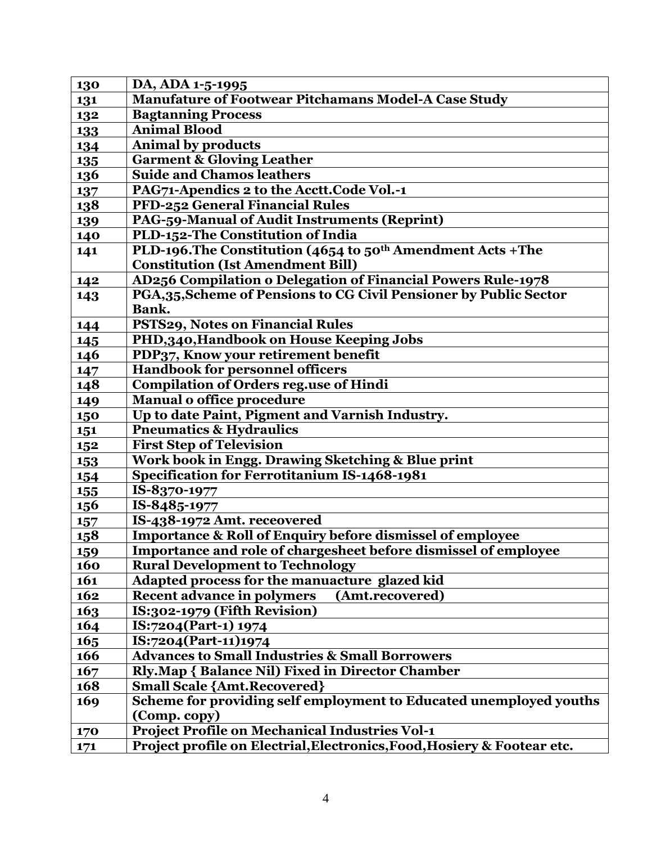| 130        | DA, ADA 1-5-1995                                                         |
|------------|--------------------------------------------------------------------------|
| 131        | <b>Manufature of Footwear Pitchamans Model-A Case Study</b>              |
| 132        | <b>Bagtanning Process</b>                                                |
| 133        | <b>Animal Blood</b>                                                      |
| 134        | <b>Animal by products</b>                                                |
| <b>135</b> | <b>Garment &amp; Gloving Leather</b>                                     |
| 136        | <b>Suide and Chamos leathers</b>                                         |
| 137        | PAG71-Apendics 2 to the Acctt.Code Vol.-1                                |
| 138        | PFD-252 General Financial Rules                                          |
| 139        | PAG-59-Manual of Audit Instruments (Reprint)                             |
| 140        | PLD-152-The Constitution of India                                        |
| 141        | PLD-196. The Constitution (4654 to 50 <sup>th</sup> Amendment Acts + The |
|            | <b>Constitution (Ist Amendment Bill)</b>                                 |
| 142        | AD256 Compilation o Delegation of Financial Powers Rule-1978             |
| 143        | PGA,35, Scheme of Pensions to CG Civil Pensioner by Public Sector        |
|            | Bank.                                                                    |
| 144        | PSTS29, Notes on Financial Rules                                         |
| 145        | PHD,340, Handbook on House Keeping Jobs                                  |
| 146        | PDP37, Know your retirement benefit                                      |
| 147        | <b>Handbook for personnel officers</b>                                   |
| 148        | <b>Compilation of Orders reg.use of Hindi</b>                            |
| 149        | <b>Manual o office procedure</b>                                         |
| 150        | Up to date Paint, Pigment and Varnish Industry.                          |
| 151        | <b>Pneumatics &amp; Hydraulics</b>                                       |
| 152        | <b>First Step of Television</b>                                          |
| <b>153</b> | Work book in Engg. Drawing Sketching & Blue print                        |
| 154        | <b>Specification for Ferrotitanium IS-1468-1981</b>                      |
| 155        | IS-8370-1977                                                             |
| <b>156</b> | IS-8485-1977                                                             |
| 157        | IS-438-1972 Amt. receovered                                              |
| <b>158</b> | <b>Importance &amp; Roll of Enquiry before dismissel of employee</b>     |
| <u>159</u> | Importance and role of chargesheet before dismissel of employee          |
| 160        | <b>Rural Development to Technology</b>                                   |
| 161        | Adapted process for the manuacture glazed kid                            |
| 162        | <b>Recent advance in polymers</b><br>(Amt.recovered)                     |
| 163        | IS:302-1979 (Fifth Revision)                                             |
| 164        | IS:7204(Part-1) 1974                                                     |
| 165        | IS:7204(Part-11)1974                                                     |
| 166        | <b>Advances to Small Industries &amp; Small Borrowers</b>                |
| 167        | <b>Rly.Map { Balance Nil) Fixed in Director Chamber</b>                  |
| 168        | <b>Small Scale {Amt.Recovered}</b>                                       |
| 169        | Scheme for providing self employment to Educated unemployed youths       |
|            | (Comp. copy)                                                             |
| 170        | <b>Project Profile on Mechanical Industries Vol-1</b>                    |
| 171        | Project profile on Electrial, Electronics, Food, Hosiery & Footear etc.  |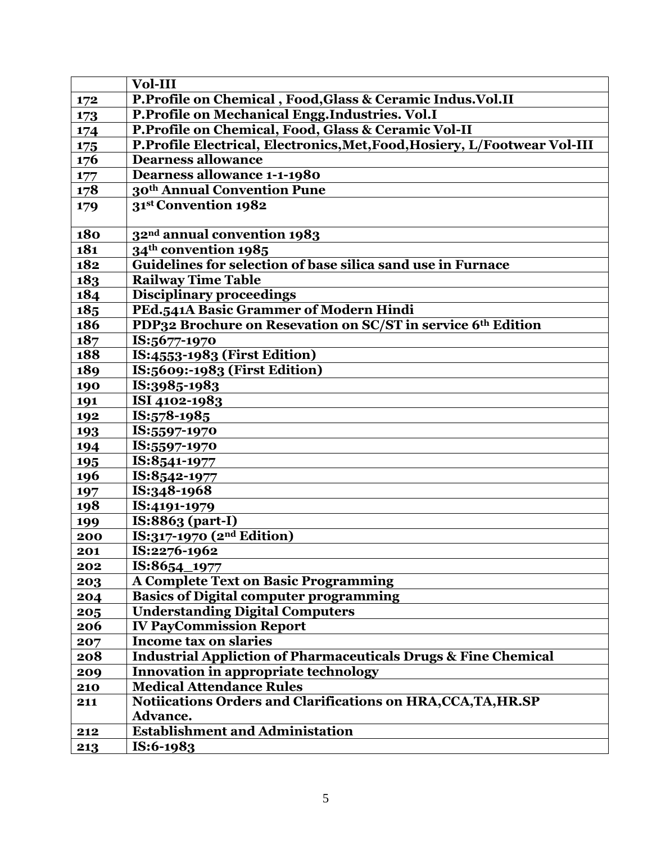|            | Vol-III                                                                   |
|------------|---------------------------------------------------------------------------|
| 172        | P.Profile on Chemical, Food, Glass & Ceramic Indus. Vol. II               |
| 173        | P.Profile on Mechanical Engg.Industries. Vol.I                            |
| 174        | P.Profile on Chemical, Food, Glass & Ceramic Vol-II                       |
| 175        | P.Profile Electrical, Electronics, Met, Food, Hosiery, L/Footwear Vol-III |
| 176        | <b>Dearness allowance</b>                                                 |
| 177        | <b>Dearness allowance 1-1-1980</b>                                        |
| 178        | 30 <sup>th</sup> Annual Convention Pune                                   |
| 179        | 31st Convention 1982                                                      |
|            |                                                                           |
| <b>180</b> | 32 <sup>nd</sup> annual convention 1983                                   |
| 181        | 34 <sup>th</sup> convention 1985                                          |
| 182        | Guidelines for selection of base silica sand use in Furnace               |
| 183        | <b>Railway Time Table</b>                                                 |
| 184        | <b>Disciplinary proceedings</b>                                           |
| 18,5       | PEd.541A Basic Grammer of Modern Hindi                                    |
| 186        | PDP32 Brochure on Resevation on SC/ST in service 6th Edition              |
| 187        | IS:5677-1970                                                              |
| 188        | IS:4553-1983 (First Edition)                                              |
| 189        | IS:5609:-1983 (First Edition)                                             |
| 190        | IS:3985-1983                                                              |
| 191        | ISI 4102-1983                                                             |
| 192        | IS:578-1985                                                               |
| 193        | IS:5597-1970                                                              |
| 194        | IS:5597-1970                                                              |
| 195        | IS:8541-1977                                                              |
| 196        | IS:8542-1977                                                              |
| 197        | IS:348-1968                                                               |
| 198        | IS:4191-1979                                                              |
| 199        | IS:8863 (part-I)                                                          |
| 200        | IS:317-1970 (2nd Edition)                                                 |
| 201        | IS:2276-1962                                                              |
| 202        | IS:8654 1977                                                              |
| 203        | <b>A Complete Text on Basic Programming</b>                               |
| 204        | <b>Basics of Digital computer programming</b>                             |
| 205        | <b>Understanding Digital Computers</b>                                    |
| 206        | <b>IV PayCommission Report</b>                                            |
| 207        | <b>Income tax on slaries</b>                                              |
| 208        | <b>Industrial Appliction of Pharmaceuticals Drugs &amp; Fine Chemical</b> |
| 209        | Innovation in appropriate technology                                      |
| 210        | <b>Medical Attendance Rules</b>                                           |
| 211        | Notiications Orders and Clarifications on HRA, CCA, TA, HR.SP             |
|            | Advance.                                                                  |
| 212        | <b>Establishment and Administation</b>                                    |
| 213        | IS:6-1983                                                                 |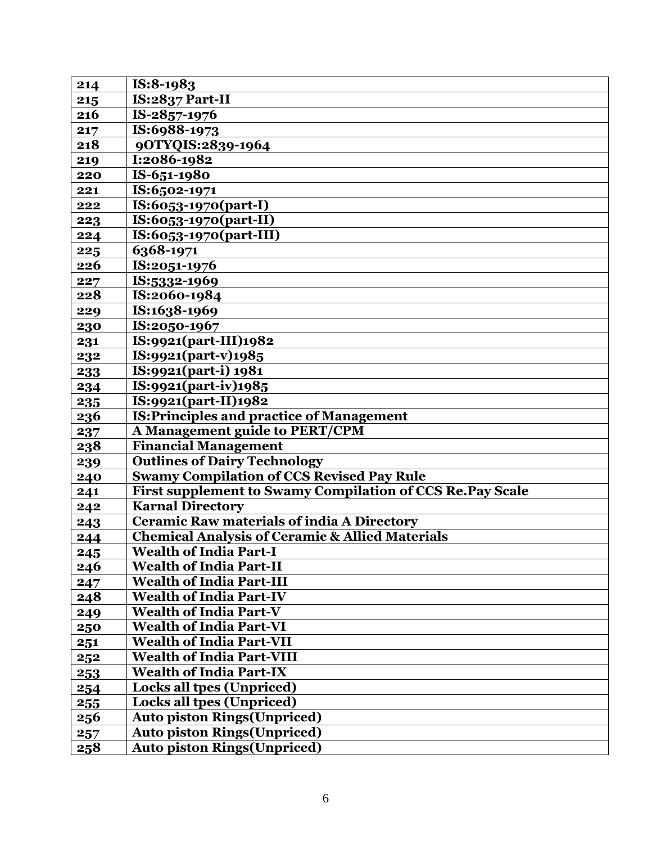| 214 | IS:8-1983                                                  |
|-----|------------------------------------------------------------|
| 215 | IS:2837 Part-II                                            |
| 216 | IS-2857-1976                                               |
| 217 | IS:6988-1973                                               |
| 218 | 90TYQIS:2839-1964                                          |
| 219 | I:2086-1982                                                |
| 220 | IS-651-1980                                                |
| 221 | IS:6502-1971                                               |
| 222 | $IS:6053-1970(part-I)$                                     |
| 223 | IS:6053-1970(part-II)                                      |
| 224 | IS:6053-1970(part-III)                                     |
| 225 | 6368-1971                                                  |
| 226 | IS:2051-1976                                               |
| 227 | IS:5332-1969                                               |
| 228 | IS:2060-1984                                               |
| 229 | IS:1638-1969                                               |
| 230 | IS:2050-1967                                               |
| 231 | IS:9921(part-III)1982                                      |
| 232 | IS:9921(part-v)1985                                        |
| 233 | IS:9921(part-i) 1981                                       |
| 234 | IS:9921(part-iv)1985                                       |
| 235 | IS:9921(part-II)1982                                       |
| 236 | <b>IS: Principles and practice of Management</b>           |
| 237 | A Management guide to PERT/CPM                             |
| 238 | <b>Financial Management</b>                                |
| 239 | <b>Outlines of Dairy Technology</b>                        |
| 240 | <b>Swamy Compilation of CCS Revised Pay Rule</b>           |
| 241 | First supplement to Swamy Compilation of CCS Re. Pay Scale |
| 242 | <b>Karnal Directory</b>                                    |
| 243 | <b>Ceramic Raw materials of india A Directory</b>          |
| 244 | <b>Chemical Analysis of Ceramic &amp; Allied Materials</b> |
| 245 | <b>Wealth of India Part-I</b>                              |
| 246 | <b>Wealth of India Part-II</b>                             |
| 247 | <b>Wealth of India Part-III</b>                            |
| 248 | <b>Wealth of India Part-IV</b>                             |
| 249 | <b>Wealth of India Part-V</b>                              |
| 250 | <b>Wealth of India Part-VI</b>                             |
| 251 | <b>Wealth of India Part-VII</b>                            |
| 252 | <b>Wealth of India Part-VIII</b>                           |
| 253 | <b>Wealth of India Part-IX</b>                             |
| 254 | <b>Locks all tpes (Unpriced)</b>                           |
| 255 | <b>Locks all tpes (Unpriced)</b>                           |
| 256 | <b>Auto piston Rings (Unpriced)</b>                        |
| 257 | <b>Auto piston Rings (Unpriced)</b>                        |
| 258 | <b>Auto piston Rings (Unpriced)</b>                        |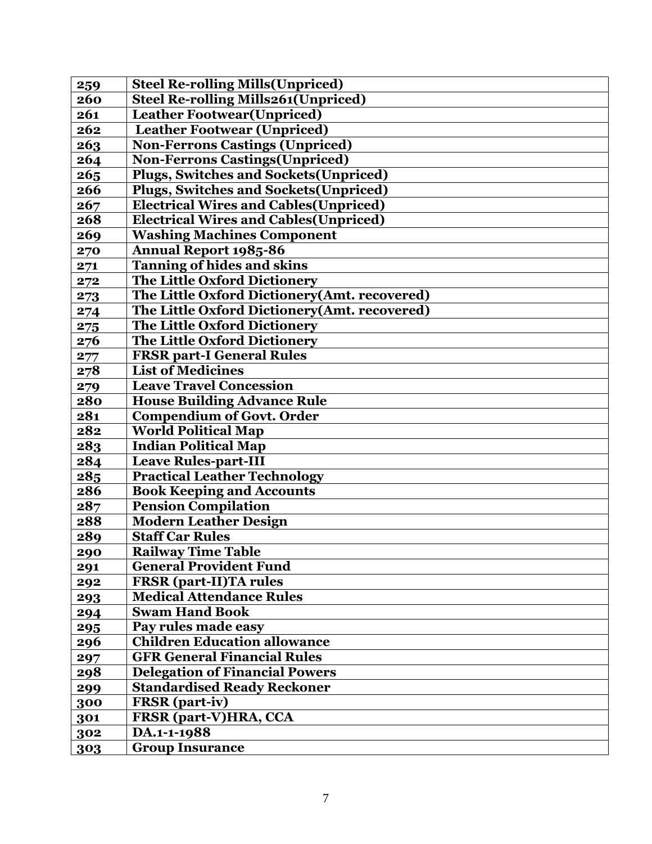| 259 | <b>Steel Re-rolling Mills (Unpriced)</b>      |
|-----|-----------------------------------------------|
| 260 | <b>Steel Re-rolling Mills261(Unpriced)</b>    |
| 261 | <b>Leather Footwear (Unpriced)</b>            |
| 262 | <b>Leather Footwear (Unpriced)</b>            |
| 263 | <b>Non-Ferrons Castings (Unpriced)</b>        |
| 264 | <b>Non-Ferrons Castings (Unpriced)</b>        |
| 265 | <b>Plugs, Switches and Sockets (Unpriced)</b> |
| 266 | <b>Plugs, Switches and Sockets (Unpriced)</b> |
| 267 | <b>Electrical Wires and Cables (Unpriced)</b> |
| 268 | <b>Electrical Wires and Cables (Unpriced)</b> |
| 269 | <b>Washing Machines Component</b>             |
| 270 | <b>Annual Report 1985-86</b>                  |
| 271 | <b>Tanning of hides and skins</b>             |
| 272 | <b>The Little Oxford Dictionery</b>           |
| 273 | The Little Oxford Dictionery(Amt. recovered)  |
| 274 | The Little Oxford Dictionery(Amt. recovered)  |
| 275 | <b>The Little Oxford Dictionery</b>           |
| 276 | The Little Oxford Dictionery                  |
| 277 | <b>FRSR part-I General Rules</b>              |
| 278 | <b>List of Medicines</b>                      |
| 279 | <b>Leave Travel Concession</b>                |
| 280 | <b>House Building Advance Rule</b>            |
| 281 | <b>Compendium of Govt. Order</b>              |
| 282 | <b>World Political Map</b>                    |
| 283 | <b>Indian Political Map</b>                   |
| 284 | <b>Leave Rules-part-III</b>                   |
| 285 | <b>Practical Leather Technology</b>           |
| 286 | <b>Book Keeping and Accounts</b>              |
| 287 | <b>Pension Compilation</b>                    |
| 288 | <b>Modern Leather Design</b>                  |
| 289 | <b>Staff Car Rules</b>                        |
| 290 | <b>Railway Time Table</b>                     |
| 291 | <b>General Provident Fund</b>                 |
| 292 | <b>FRSR</b> (part-II)TA rules                 |
| 293 | <b>Medical Attendance Rules</b>               |
| 294 | <b>Swam Hand Book</b>                         |
| 295 | Pay rules made easy                           |
| 296 | <b>Children Education allowance</b>           |
| 297 | <b>GFR General Financial Rules</b>            |
| 298 | <b>Delegation of Financial Powers</b>         |
| 299 | <b>Standardised Ready Reckoner</b>            |
| 300 | <b>FRSR</b> (part-iv)                         |
| 301 | <b>FRSR</b> (part-V)HRA, CCA                  |
| 302 | DA.1-1-1988                                   |
| 303 | <b>Group Insurance</b>                        |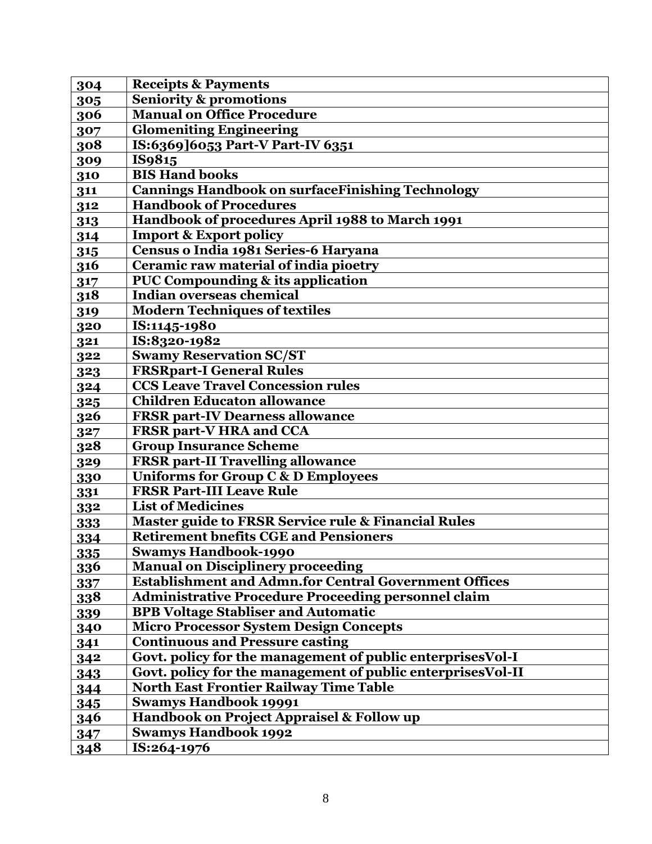| 304        | <b>Receipts &amp; Payments</b>                               |
|------------|--------------------------------------------------------------|
| 305        | <b>Seniority &amp; promotions</b>                            |
| 306        | <b>Manual on Office Procedure</b>                            |
| 307        | <b>Glomeniting Engineering</b>                               |
| 308        | IS:6369]6053 Part-V Part-IV 6351                             |
| 309        | IS9815                                                       |
| 310        | <b>BIS Hand books</b>                                        |
| 311        | <b>Cannings Handbook on surfaceFinishing Technology</b>      |
| 312        | <b>Handbook of Procedures</b>                                |
| 313        | Handbook of procedures April 1988 to March 1991              |
| 314        | <b>Import &amp; Export policy</b>                            |
| 315        | Census o India 1981 Series-6 Haryana                         |
| 316        | Ceramic raw material of india pioetry                        |
| 317        | <b>PUC Compounding &amp; its application</b>                 |
| 318        | Indian overseas chemical                                     |
| 319        | <b>Modern Techniques of textiles</b>                         |
| 320        | IS:1145-1980                                                 |
| 321        | IS:8320-1982                                                 |
| 322        | <b>Swamy Reservation SC/ST</b>                               |
| 323        | <b>FRSRpart-I General Rules</b>                              |
| 324        | <b>CCS Leave Travel Concession rules</b>                     |
| 325        | <b>Children Educaton allowance</b>                           |
| 326        | <b>FRSR part-IV Dearness allowance</b>                       |
| 327        | <b>FRSR part-V HRA and CCA</b>                               |
| 328        | <b>Group Insurance Scheme</b>                                |
| 329        | <b>FRSR part-II Travelling allowance</b>                     |
| 330        | Uniforms for Group C & D Employees                           |
| 331        | <b>FRSR Part-III Leave Rule</b>                              |
| 332        | <b>List of Medicines</b>                                     |
| 333        | Master guide to FRSR Service rule & Financial Rules          |
| 334        | <b>Retirement bnefits CGE and Pensioners</b>                 |
| 335        | <b>Swamys Handbook-1990</b>                                  |
| 336        | <b>Manual on Disciplinery proceeding</b>                     |
| 337        | <b>Establishment and Admn.for Central Government Offices</b> |
| <b>338</b> | <b>Administrative Procedure Proceeding personnel claim</b>   |
| 339        | <b>BPB Voltage Stabliser and Automatic</b>                   |
| 340        | <b>Micro Processor System Design Concepts</b>                |
| 341        | <b>Continuous and Pressure casting</b>                       |
| 342        | Govt. policy for the management of public enterprises Vol-I  |
| 343        | Govt. policy for the management of public enterprises Vol-II |
| 344        | <b>North East Frontier Railway Time Table</b>                |
| 345        | <b>Swamys Handbook 19991</b>                                 |
| 346        | Handbook on Project Appraisel & Follow up                    |
| 347        | <b>Swamys Handbook 1992</b>                                  |
| 348        | IS:264-1976                                                  |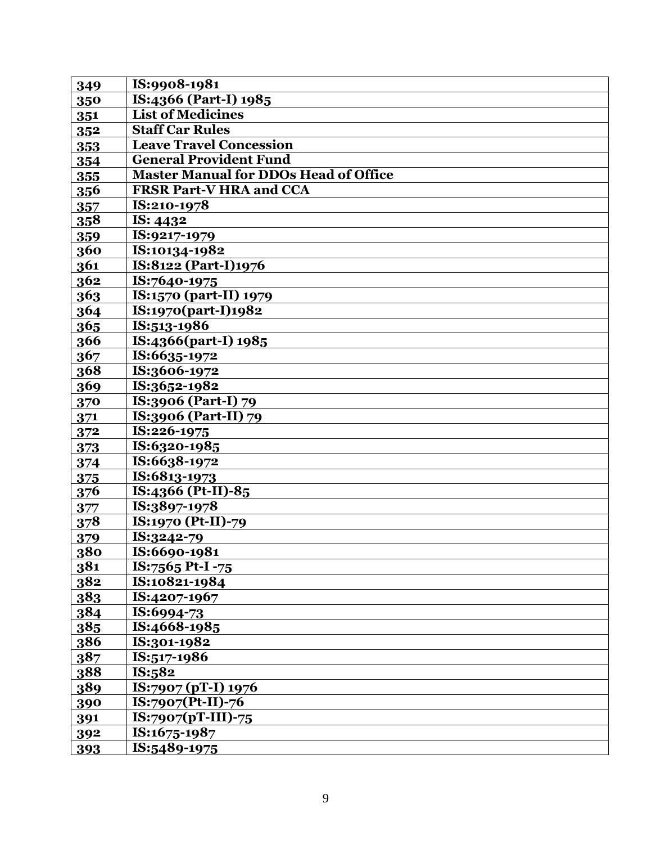| 349        | IS:9908-1981                                 |
|------------|----------------------------------------------|
| 350        | IS:4366 (Part-I) 1985                        |
| 351        | <b>List of Medicines</b>                     |
| 352        | <b>Staff Car Rules</b>                       |
| 353        | <b>Leave Travel Concession</b>               |
| 354        | <b>General Provident Fund</b>                |
| 355        | <b>Master Manual for DDOs Head of Office</b> |
| 356        | <b>FRSR Part-V HRA and CCA</b>               |
| 357        | IS:210-1978                                  |
| 358        | IS: 4432                                     |
| 359        | IS:9217-1979                                 |
| 360        | IS:10134-1982                                |
| 361        | IS:8122 (Part-I)1976                         |
| 362        | IS:7640-1975                                 |
| 363        | IS:1570 (part-II) 1979                       |
| 364        | IS:1970(part-I)1982                          |
| 365        | IS:513-1986                                  |
| 366        | IS:4366(part-I) 1985                         |
| 367        | IS:6635-1972                                 |
| 368        | IS:3606-1972                                 |
| 369        | IS:3652-1982                                 |
| 370        | IS:3906 (Part-I) 79                          |
| 371        | IS:3906 (Part-II) 79                         |
| 372        | IS:226-1975                                  |
| 373        | IS:6320-1985                                 |
| 374        | IS:6638-1972                                 |
| 375        | IS:6813-1973                                 |
| 376        | IS:4366 (Pt-II)-85                           |
| 377        | IS:3897-1978                                 |
| 378        | IS:1970 (Pt-II)-79                           |
| 379        | IS:3242-79                                   |
| 380        | IS:6690-1981                                 |
| 381        | IS:7565 Pt-I -75                             |
| 382        | IS:10821-1984                                |
| 383        | IS:4207-1967                                 |
| 384        | IS:6994-73                                   |
| 385        | IS:4668-1985                                 |
| 386        | IS:301-1982                                  |
| 387        | IS:517-1986                                  |
| 388        | IS:582                                       |
| 389        | IS:7907 (pT-I) 1976                          |
| 390        | $IS:7907(Pt-II)-76$                          |
| 391        | $IS:7907(pT-III)-75$                         |
| 392        | IS:1675-1987                                 |
| <u>393</u> | IS:5489-1975                                 |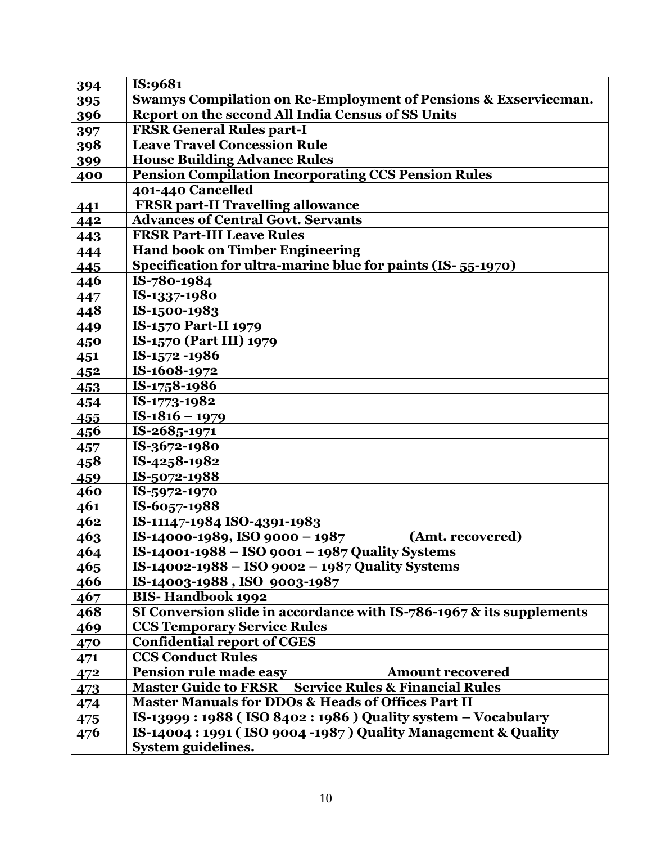| 394 | IS:9681                                                                    |
|-----|----------------------------------------------------------------------------|
| 395 | <b>Swamys Compilation on Re-Employment of Pensions &amp; Exserviceman.</b> |
| 396 | Report on the second All India Census of SS Units                          |
| 397 | <b>FRSR General Rules part-I</b>                                           |
| 398 | <b>Leave Travel Concession Rule</b>                                        |
| 399 | <b>House Building Advance Rules</b>                                        |
| 400 | <b>Pension Compilation Incorporating CCS Pension Rules</b>                 |
|     | 401-440 Cancelled                                                          |
| 441 | <b>FRSR part-II Travelling allowance</b>                                   |
| 442 | <b>Advances of Central Govt. Servants</b>                                  |
| 443 | <b>FRSR Part-III Leave Rules</b>                                           |
| 444 | <b>Hand book on Timber Engineering</b>                                     |
| 445 | Specification for ultra-marine blue for paints (IS-55-1970)                |
| 446 | IS-780-1984                                                                |
| 447 | IS-1337-1980                                                               |
| 448 | IS-1500-1983                                                               |
| 449 | <b>IS-1570 Part-II 1979</b>                                                |
| 450 | IS-1570 (Part III) 1979                                                    |
| 451 | IS-1572-1986                                                               |
| 452 | IS-1608-1972                                                               |
| 453 | IS-1758-1986                                                               |
| 454 | IS-1773-1982                                                               |
| 455 | $IS-1816 - 1979$                                                           |
| 456 | IS-2685-1971                                                               |
| 457 | IS-3672-1980                                                               |
| 458 | IS-4258-1982                                                               |
| 459 | IS-5072-1988                                                               |
| 460 | IS-5972-1970                                                               |
| 461 | IS-6057-1988                                                               |
| 462 | IS-11147-1984 ISO-4391-1983                                                |
| 463 | IS-14000-1989, ISO 9000 - 1987<br>(Amt. recovered)                         |
| 464 | IS-14001-1988 - ISO 9001 - 1987 Quality Systems                            |
| 465 | IS-14002-1988 – ISO 9002 – 1987 Quality Systems                            |
| 466 | IS-14003-1988, ISO 9003-1987                                               |
| 467 | <b>BIS-Handbook 1992</b>                                                   |
| 468 | SI Conversion slide in accordance with IS-786-1967 & its supplements       |
| 469 | <b>CCS Temporary Service Rules</b>                                         |
| 470 | <b>Confidential report of CGES</b>                                         |
| 471 | <b>CCS Conduct Rules</b>                                                   |
| 472 | Pension rule made easy<br><b>Amount recovered</b>                          |
| 473 | <b>Master Guide to FRSR</b><br><b>Service Rules &amp; Financial Rules</b>  |
| 474 | <b>Master Manuals for DDOs &amp; Heads of Offices Part II</b>              |
| 475 | IS-13999: 1988 (ISO 8402: 1986) Quality system - Vocabulary                |
| 476 | IS-14004 : 1991 (ISO 9004 -1987) Quality Management & Quality              |
|     | System guidelines.                                                         |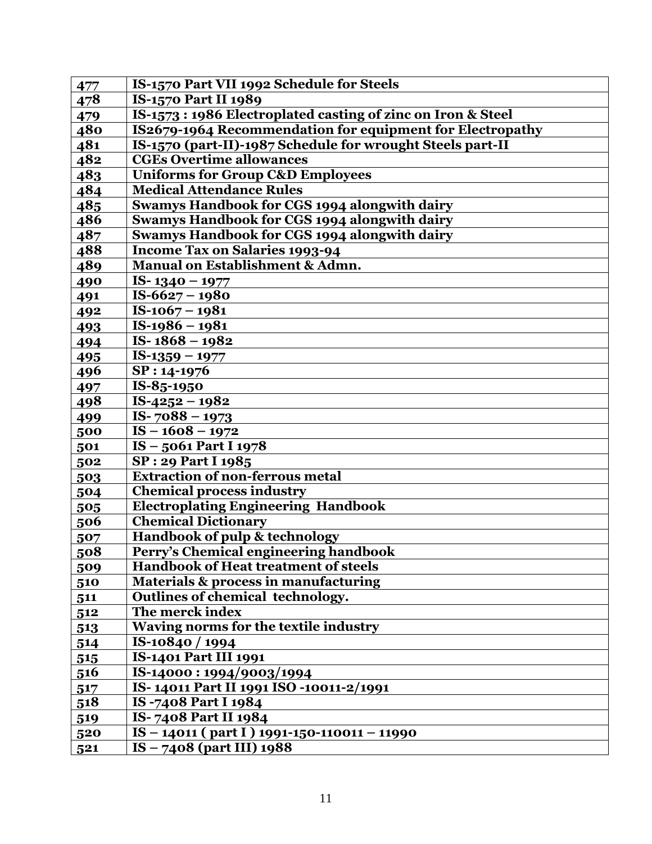| 477 | IS-1570 Part VII 1992 Schedule for Steels                   |
|-----|-------------------------------------------------------------|
| 478 | <b>IS-1570 Part II 1989</b>                                 |
| 479 | IS-1573: 1986 Electroplated casting of zinc on Iron & Steel |
| 480 | IS2679-1964 Recommendation for equipment for Electropathy   |
| 481 | IS-1570 (part-II)-1987 Schedule for wrought Steels part-II  |
| 482 | <b>CGEs Overtime allowances</b>                             |
| 483 | <b>Uniforms for Group C&amp;D Employees</b>                 |
| 484 | <b>Medical Attendance Rules</b>                             |
| 485 | Swamys Handbook for CGS 1994 alongwith dairy                |
| 486 | <b>Swamys Handbook for CGS 1994 alongwith dairy</b>         |
| 487 | <b>Swamys Handbook for CGS 1994 alongwith dairy</b>         |
| 488 | Income Tax on Salaries 1993-94                              |
| 489 | Manual on Establishment & Admn.                             |
| 490 | IS- $1340 - 1977$                                           |
| 491 | $IS-6627 - 1980$                                            |
| 492 | $IS-1067-1981$                                              |
| 493 | $IS-1986-1981$                                              |
| 494 | IS- $1868 - 1982$                                           |
| 495 | $IS-1359 - 1977$                                            |
| 496 | SP: 14-1976                                                 |
| 497 | IS-85-1950                                                  |
| 498 | IS-4252 - 1982                                              |
| 499 | IS- $7088 - 1973$                                           |
| 500 | $IS - 1608 - 1972$                                          |
| 501 | IS-5061 Part I 1978                                         |
| 502 | <b>SP: 29 Part I 1985</b>                                   |
| 503 | <b>Extraction of non-ferrous metal</b>                      |
| 504 | <b>Chemical process industry</b>                            |
| 505 | <b>Electroplating Engineering Handbook</b>                  |
| 506 | <b>Chemical Dictionary</b>                                  |
| 507 | Handbook of pulp & technology                               |
| 508 | Perry's Chemical engineering handbook                       |
| 509 | <b>Handbook of Heat treatment of steels</b>                 |
| 510 | Materials & process in manufacturing                        |
| 511 | Outlines of chemical technology.                            |
| 512 | The merck index                                             |
| 513 | Waving norms for the textile industry                       |
| 514 | IS-10840 / 1994                                             |
| 515 | <b>IS-1401 Part III 1991</b>                                |
| 516 | IS-14000:1994/9003/1994                                     |
| 517 | IS-14011 Part II 1991 ISO -10011-2/1991                     |
| 518 | IS-7408 Part I 1984                                         |
| 519 | IS-7408 Part II 1984                                        |
| 520 | $\overline{1S - 14011}$ (part I) 1991-150-110011 – 11990    |
| 521 | $IS - 7408$ (part III) 1988                                 |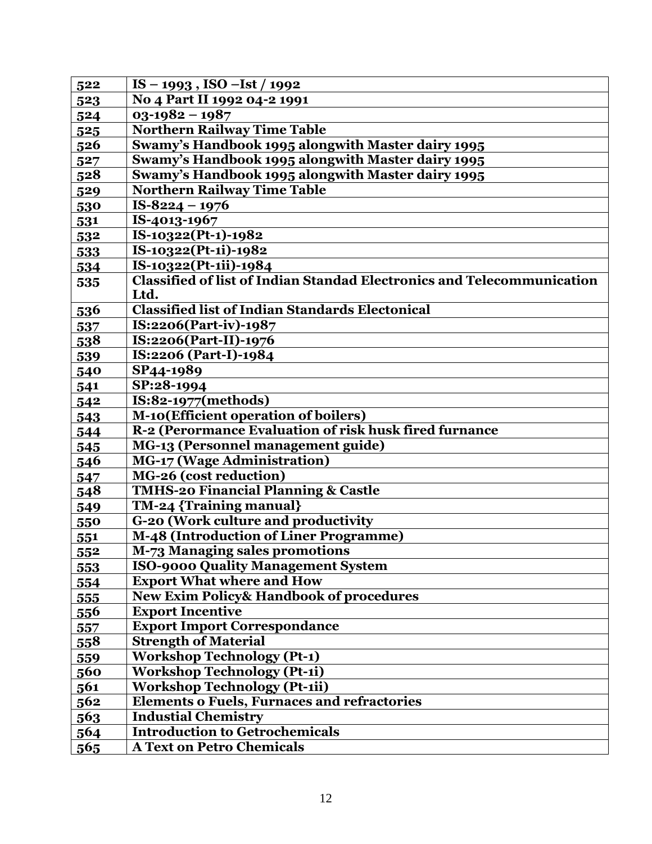| 522              | $IS - 1993$ , $ISO - Ist / 1992$                                              |
|------------------|-------------------------------------------------------------------------------|
| 523              | No 4 Part II 1992 04-2 1991                                                   |
| 524              | $03 - 1982 - 1987$                                                            |
| 5 <sup>2</sup> 5 | <b>Northern Railway Time Table</b>                                            |
| 526              | Swamy's Handbook 1995 alongwith Master dairy 1995                             |
| 527              | Swamy's Handbook 1995 alongwith Master dairy 1995                             |
| 528              | Swamy's Handbook 1995 alongwith Master dairy 1995                             |
| 529              | <b>Northern Railway Time Table</b>                                            |
| 530              | $IS-8224 - 1976$                                                              |
| 531              | IS-4013-1967                                                                  |
| 532              | IS-10322(Pt-1)-1982                                                           |
| 533              | IS-10322(Pt-1i)-1982                                                          |
| 534              | IS-10322(Pt-1ii)-1984                                                         |
| 535              | <b>Classified of list of Indian Standad Electronics and Telecommunication</b> |
|                  | Ltd.                                                                          |
| 536              | <b>Classified list of Indian Standards Electonical</b>                        |
| 537              | IS:2206(Part-iv)-1987                                                         |
| 538              | IS:2206(Part-II)-1976                                                         |
| 539              | IS:2206 (Part-I)-1984                                                         |
| 540              | SP44-1989                                                                     |
| 541              | SP:28-1994                                                                    |
| 542              | IS:82-1977(methods)                                                           |
| 543              | M-10(Efficient operation of boilers)                                          |
| 544              | R-2 (Perormance Evaluation of risk husk fired furnance                        |
| 545              | MG-13 (Personnel management guide)                                            |
| 546              | MG-17 (Wage Administration)                                                   |
| 547              | MG-26 (cost reduction)                                                        |
| 548              | <b>TMHS-20 Financial Planning &amp; Castle</b>                                |
| 549              | TM-24 {Training manual}                                                       |
| 550              | G-20 (Work culture and productivity                                           |
| 551              | M-48 (Introduction of Liner Programme)                                        |
| 552              | M-73 Managing sales promotions                                                |
| 553              | <b>ISO-9000 Quality Management System</b>                                     |
| 554              | <b>Export What where and How</b>                                              |
| 555              | <b>New Exim Policy&amp; Handbook of procedures</b>                            |
| <u>556</u>       | <b>Export Incentive</b>                                                       |
| 557              | <b>Export Import Correspondance</b>                                           |
| 558              | <b>Strength of Material</b>                                                   |
| 559              | <b>Workshop Technology (Pt-1)</b>                                             |
| 560              | <b>Workshop Technology (Pt-1i)</b>                                            |
| 561              | <b>Workshop Technology (Pt-1ii)</b>                                           |
| 562              | <b>Elements o Fuels, Furnaces and refractories</b>                            |
| 563              | <b>Industial Chemistry</b>                                                    |
| 564              | <b>Introduction to Getrochemicals</b>                                         |
| 565              | <b>A Text on Petro Chemicals</b>                                              |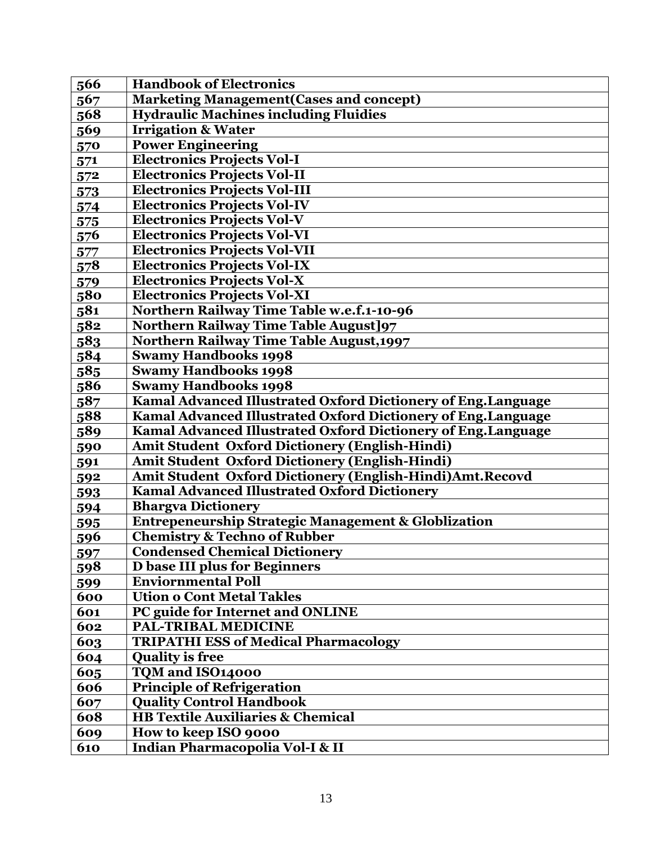| 566 | <b>Handbook of Electronics</b>                                 |
|-----|----------------------------------------------------------------|
| 567 | <b>Marketing Management (Cases and concept)</b>                |
| 568 | <b>Hydraulic Machines including Fluidies</b>                   |
| 569 | <b>Irrigation &amp; Water</b>                                  |
| 570 | <b>Power Engineering</b>                                       |
| 571 | <b>Electronics Projects Vol-I</b>                              |
| 572 | <b>Electronics Projects Vol-II</b>                             |
| 573 | <b>Electronics Projects Vol-III</b>                            |
| 574 | <b>Electronics Projects Vol-IV</b>                             |
| 575 | <b>Electronics Projects Vol-V</b>                              |
| 576 | <b>Electronics Projects Vol-VI</b>                             |
| 577 | <b>Electronics Projects Vol-VII</b>                            |
| 578 | <b>Electronics Projects Vol-IX</b>                             |
| 579 | <b>Electronics Projects Vol-X</b>                              |
| 580 | <b>Electronics Projects Vol-XI</b>                             |
| 581 | <b>Northern Railway Time Table w.e.f.1-10-96</b>               |
| 582 | <b>Northern Railway Time Table August]97</b>                   |
| 583 | Northern Railway Time Table August, 1997                       |
| 584 | <b>Swamy Handbooks 1998</b>                                    |
| 585 | <b>Swamy Handbooks 1998</b>                                    |
| 586 | <b>Swamy Handbooks 1998</b>                                    |
| 587 | Kamal Advanced Illustrated Oxford Dictionery of Eng.Language   |
| 588 | Kamal Advanced Illustrated Oxford Dictionery of Eng.Language   |
| 589 | Kamal Advanced Illustrated Oxford Dictionery of Eng.Language   |
| 590 | <b>Amit Student Oxford Dictionery (English-Hindi)</b>          |
| 591 | <b>Amit Student Oxford Dictionery (English-Hindi)</b>          |
| 592 | Amit Student Oxford Dictionery (English-Hindi)Amt.Recovd       |
| 593 | <b>Kamal Advanced Illustrated Oxford Dictionery</b>            |
| 594 | <b>Bhargva Dictionery</b>                                      |
| 595 | <b>Entrepeneurship Strategic Management &amp; Globlization</b> |
| 596 | <b>Chemistry &amp; Techno of Rubber</b>                        |
| 597 | <b>Condensed Chemical Dictionery</b>                           |
| 598 | <b>D</b> base III plus for Beginners                           |
| 599 | <b>Enviornmental Poll</b>                                      |
| 600 | <b>Ution o Cont Metal Takles</b>                               |
| 601 | PC guide for Internet and ONLINE                               |
| 602 | <b>PAL-TRIBAL MEDICINE</b>                                     |
| 603 | <b>TRIPATHI ESS of Medical Pharmacology</b>                    |
| 604 | <b>Quality is free</b>                                         |
| 605 | TQM and ISO14000                                               |
| 606 | <b>Principle of Refrigeration</b>                              |
| 607 | <b>Quality Control Handbook</b>                                |
| 608 | <b>HB Textile Auxiliaries &amp; Chemical</b>                   |
| 609 | How to keep ISO 9000                                           |
| 610 | Indian Pharmacopolia Vol-I & II                                |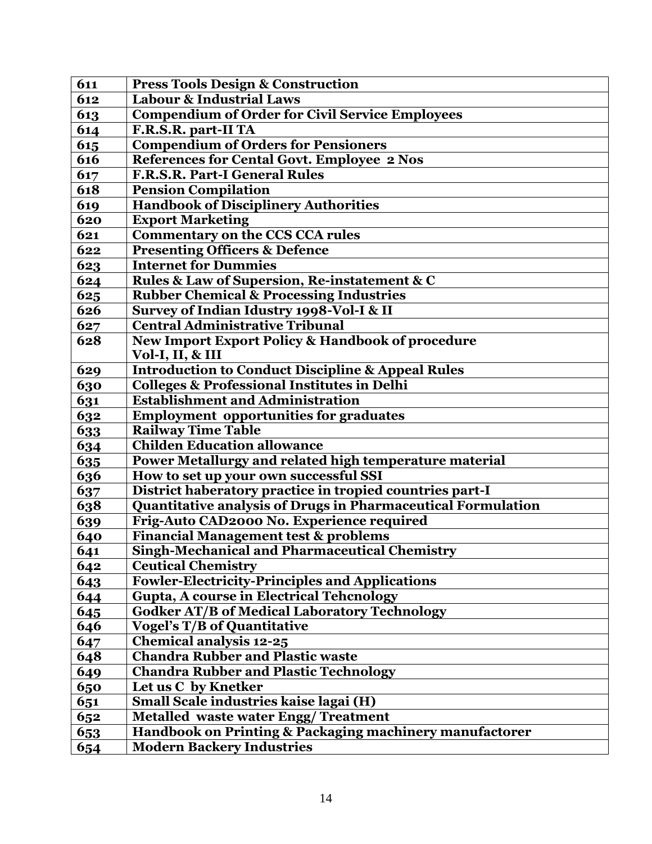| 611 | <b>Press Tools Design &amp; Construction</b>                 |
|-----|--------------------------------------------------------------|
| 612 | <b>Labour &amp; Industrial Laws</b>                          |
| 613 | <b>Compendium of Order for Civil Service Employees</b>       |
| 614 | F.R.S.R. part-II TA                                          |
| 615 | <b>Compendium of Orders for Pensioners</b>                   |
| 616 | <b>References for Cental Govt. Employee 2 Nos</b>            |
| 617 | F.R.S.R. Part-I General Rules                                |
| 618 | <b>Pension Compilation</b>                                   |
| 619 | <b>Handbook of Disciplinery Authorities</b>                  |
| 620 | <b>Export Marketing</b>                                      |
| 621 | <b>Commentary on the CCS CCA rules</b>                       |
| 622 | <b>Presenting Officers &amp; Defence</b>                     |
| 623 | <b>Internet for Dummies</b>                                  |
| 624 | Rules & Law of Supersion, Re-instatement & C                 |
| 625 | <b>Rubber Chemical &amp; Processing Industries</b>           |
| 626 | Survey of Indian Idustry 1998-Vol-I & II                     |
| 627 | <b>Central Administrative Tribunal</b>                       |
| 628 | New Import Export Policy & Handbook of procedure             |
|     | Vol-I, II, & III                                             |
| 629 | <b>Introduction to Conduct Discipline &amp; Appeal Rules</b> |
| 630 | <b>Colleges &amp; Professional Institutes in Delhi</b>       |
| 631 | <b>Establishment and Administration</b>                      |
| 632 | <b>Employment opportunities for graduates</b>                |
| 633 | <b>Railway Time Table</b>                                    |
| 634 | <b>Childen Education allowance</b>                           |
| 635 | Power Metallurgy and related high temperature material       |
| 636 | How to set up your own successful SSI                        |
| 637 | District haberatory practice in tropied countries part-I     |
| 638 | Quantitative analysis of Drugs in Pharmaceutical Formulation |
| 639 | Frig-Auto CAD2000 No. Experience required                    |
| 640 | <b>Financial Management test &amp; problems</b>              |
| 641 | <b>Singh-Mechanical and Pharmaceutical Chemistry</b>         |
| 642 | <b>Ceutical Chemistry</b>                                    |
| 643 | <b>Fowler-Electricity-Principles and Applications</b>        |
| 644 | <b>Gupta, A course in Electrical Tehenology</b>              |
| 645 | <b>Godker AT/B of Medical Laboratory Technology</b>          |
| 646 | <b>Vogel's T/B of Quantitative</b>                           |
| 647 | <b>Chemical analysis 12-25</b>                               |
| 648 | <b>Chandra Rubber and Plastic waste</b>                      |
| 649 | <b>Chandra Rubber and Plastic Technology</b>                 |
| 650 | Let us C by Knetker                                          |
| 651 | Small Scale industries kaise lagai (H)                       |
| 652 | <b>Metalled waste water Engg/Treatment</b>                   |
| 653 | Handbook on Printing & Packaging machinery manufactorer      |
| 654 | <b>Modern Backery Industries</b>                             |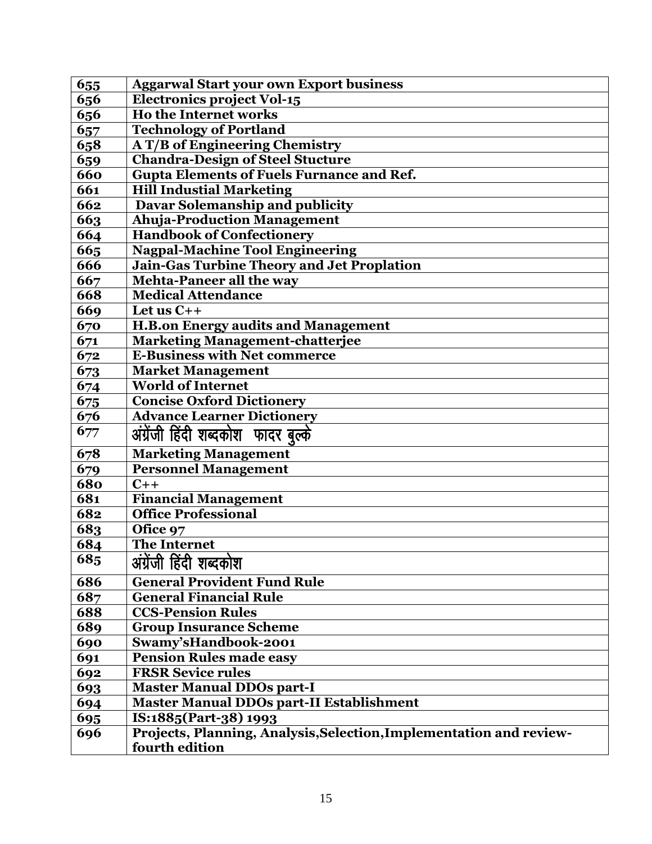| 655 | <b>Aggarwal Start your own Export business</b>                                        |
|-----|---------------------------------------------------------------------------------------|
| 656 | <b>Electronics project Vol-15</b>                                                     |
| 656 | <b>Ho the Internet works</b>                                                          |
| 657 | <b>Technology of Portland</b>                                                         |
| 658 | A T/B of Engineering Chemistry                                                        |
| 659 | <b>Chandra-Design of Steel Stucture</b>                                               |
| 660 | <b>Gupta Elements of Fuels Furnance and Ref.</b>                                      |
| 661 | <b>Hill Industial Marketing</b>                                                       |
| 662 | Davar Solemanship and publicity                                                       |
| 663 | <b>Ahuja-Production Management</b>                                                    |
| 664 | <b>Handbook of Confectionery</b>                                                      |
| 665 | <b>Nagpal-Machine Tool Engineering</b>                                                |
| 666 | <b>Jain-Gas Turbine Theory and Jet Proplation</b>                                     |
| 667 | Mehta-Paneer all the way                                                              |
| 668 | <b>Medical Attendance</b>                                                             |
| 669 | Let us $C++$                                                                          |
| 670 | <b>H.B.on Energy audits and Management</b>                                            |
| 671 | <b>Marketing Management-chatterjee</b>                                                |
| 672 | <b>E-Business with Net commerce</b>                                                   |
| 673 | Market Management                                                                     |
| 674 | <b>World of Internet</b>                                                              |
| 675 | <b>Concise Oxford Dictionery</b>                                                      |
| 676 | <b>Advance Learner Dictionery</b>                                                     |
| 677 | अंग्रेंजी हिंदी शब्दकोश फादर बुल्के                                                   |
| 678 | <b>Marketing Management</b>                                                           |
| 679 | <b>Personnel Management</b>                                                           |
| 680 | $C++$                                                                                 |
| 681 | <b>Financial Management</b>                                                           |
| 682 | <b>Office Professional</b>                                                            |
| 683 | Ofice 97                                                                              |
| 684 | <b>The Internet</b>                                                                   |
| 685 | अंग्रेंजी हिंदी शब्दकोश                                                               |
| 686 | <b>General Provident Fund Rule</b>                                                    |
| 687 | <b>General Financial Rule</b>                                                         |
| 688 | <b>CCS-Pension Rules</b>                                                              |
| 689 | <b>Group Insurance Scheme</b>                                                         |
| 690 | Swamy'sHandbook-2001                                                                  |
| 691 | <b>Pension Rules made easy</b>                                                        |
| 692 | <b>FRSR Sevice rules</b>                                                              |
| 693 | <b>Master Manual DDOs part-I</b>                                                      |
| 694 | <b>Master Manual DDOs part-II Establishment</b>                                       |
| 695 | IS:1885(Part-38) 1993                                                                 |
| 696 | Projects, Planning, Analysis, Selection, Implementation and review-<br>fourth edition |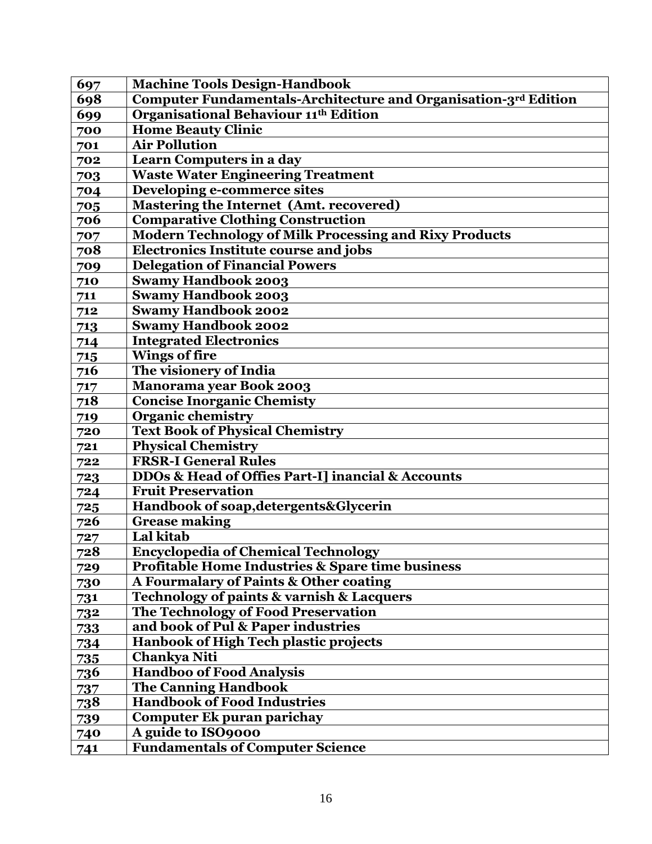| 697        | <b>Machine Tools Design-Handbook</b>                            |
|------------|-----------------------------------------------------------------|
| 698        | Computer Fundamentals-Architecture and Organisation-3rd Edition |
| 699        | <b>Organisational Behaviour 11th Edition</b>                    |
| 700        | <b>Home Beauty Clinic</b>                                       |
| 701        | <b>Air Pollution</b>                                            |
| 702        | Learn Computers in a day                                        |
| 703        | <b>Waste Water Engineering Treatment</b>                        |
| 704        | Developing e-commerce sites                                     |
| 705        | Mastering the Internet (Amt. recovered)                         |
| 706        | <b>Comparative Clothing Construction</b>                        |
| 707        | <b>Modern Technology of Milk Processing and Rixy Products</b>   |
| 708        | <b>Electronics Institute course and jobs</b>                    |
| 709        | <b>Delegation of Financial Powers</b>                           |
| 710        | <b>Swamy Handbook 2003</b>                                      |
| 711        | <b>Swamy Handbook 2003</b>                                      |
| 712        | <b>Swamy Handbook 2002</b>                                      |
| 713        | <b>Swamy Handbook 2002</b>                                      |
| 714        | <b>Integrated Electronics</b>                                   |
| 715        | <b>Wings of fire</b>                                            |
| 716        | The visionery of India                                          |
| 717        | <b>Manorama year Book 2003</b>                                  |
| 718        | <b>Concise Inorganic Chemisty</b>                               |
| 719        | <b>Organic chemistry</b>                                        |
| 720        | <b>Text Book of Physical Chemistry</b>                          |
| 721        | <b>Physical Chemistry</b>                                       |
| 722        | <b>FRSR-I General Rules</b>                                     |
| 723        | DDOs & Head of Offies Part-I] inancial & Accounts               |
| 724        | <b>Fruit Preservation</b>                                       |
| 725        | Handbook of soap, detergents& Glycerin                          |
| 726        | <b>Grease making</b>                                            |
| 727        | Lal kitab                                                       |
| 728        | <b>Encyclopedia of Chemical Technology</b>                      |
| 729        | <b>Profitable Home Industries &amp; Spare time business</b>     |
| 730        | A Fourmalary of Paints & Other coating                          |
| 731        | Technology of paints & varnish & Lacquers                       |
| 732        | The Technology of Food Preservation                             |
| 733        | and book of Pul & Paper industries                              |
| 734        | Hanbook of High Tech plastic projects                           |
| 735        | Chankya Niti                                                    |
| <u>736</u> | <b>Handboo of Food Analysis</b>                                 |
| 737        | The Canning Handbook                                            |
| <u>738</u> | <b>Handbook of Food Industries</b>                              |
| 739        | <b>Computer Ek puran parichay</b>                               |
| 740        | A guide to ISO9000                                              |
| 741        | <b>Fundamentals of Computer Science</b>                         |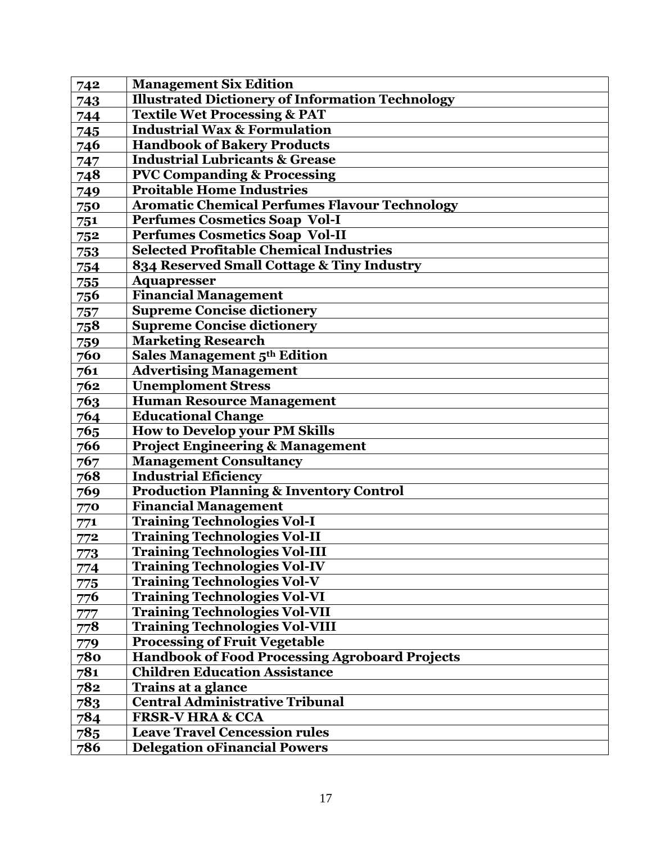| 742        | <b>Management Six Edition</b>                           |
|------------|---------------------------------------------------------|
| 743        | <b>Illustrated Dictionery of Information Technology</b> |
| 744        | <b>Textile Wet Processing &amp; PAT</b>                 |
| 745        | <b>Industrial Wax &amp; Formulation</b>                 |
| <u>746</u> | <b>Handbook of Bakery Products</b>                      |
| 747        | <b>Industrial Lubricants &amp; Grease</b>               |
| 748        | <b>PVC Companding &amp; Processing</b>                  |
| 749        | <b>Proitable Home Industries</b>                        |
| 750        | <b>Aromatic Chemical Perfumes Flavour Technology</b>    |
| 751        | <b>Perfumes Cosmetics Soap Vol-I</b>                    |
| 752        | <b>Perfumes Cosmetics Soap Vol-II</b>                   |
| 753        | <b>Selected Profitable Chemical Industries</b>          |
| 754        | 834 Reserved Small Cottage & Tiny Industry              |
| 755        | <b>Aquapresser</b>                                      |
| <u>756</u> | <b>Financial Management</b>                             |
| 757        | <b>Supreme Concise dictionery</b>                       |
| 758        | <b>Supreme Concise dictionery</b>                       |
| 759        | <b>Marketing Research</b>                               |
| 760        | Sales Management 5th Edition                            |
| 761        | <b>Advertising Management</b>                           |
| 762        | <b>Unemploment Stress</b>                               |
| 763        | <b>Human Resource Management</b>                        |
| 764        | <b>Educational Change</b>                               |
| 765        | <b>How to Develop your PM Skills</b>                    |
| 766        | <b>Project Engineering &amp; Management</b>             |
| 767        | <b>Management Consultancy</b>                           |
| 768        | <b>Industrial Eficiency</b>                             |
| 769        | <b>Production Planning &amp; Inventory Control</b>      |
| 770        | <b>Financial Management</b>                             |
| 771        | <b>Training Technologies Vol-I</b>                      |
| 772        | <b>Training Technologies Vol-II</b>                     |
| 773        | <b>Training Technologies Vol-III</b>                    |
| 774        | <b>Training Technologies Vol-IV</b>                     |
| 775        | <b>Training Technologies Vol-V</b>                      |
| 776        | <b>Training Technologies Vol-VI</b>                     |
| 777        | <b>Training Technologies Vol-VII</b>                    |
| 778        | <b>Training Technologies Vol-VIII</b>                   |
| 779        | <b>Processing of Fruit Vegetable</b>                    |
| 780        | <b>Handbook of Food Processing Agroboard Projects</b>   |
| 781        | <b>Children Education Assistance</b>                    |
| 782        | <b>Trains at a glance</b>                               |
| 783        | <b>Central Administrative Tribunal</b>                  |
| 784        | <b>FRSR-V HRA &amp; CCA</b>                             |
| 785        | <b>Leave Travel Cencession rules</b>                    |
| 786        | <b>Delegation oFinancial Powers</b>                     |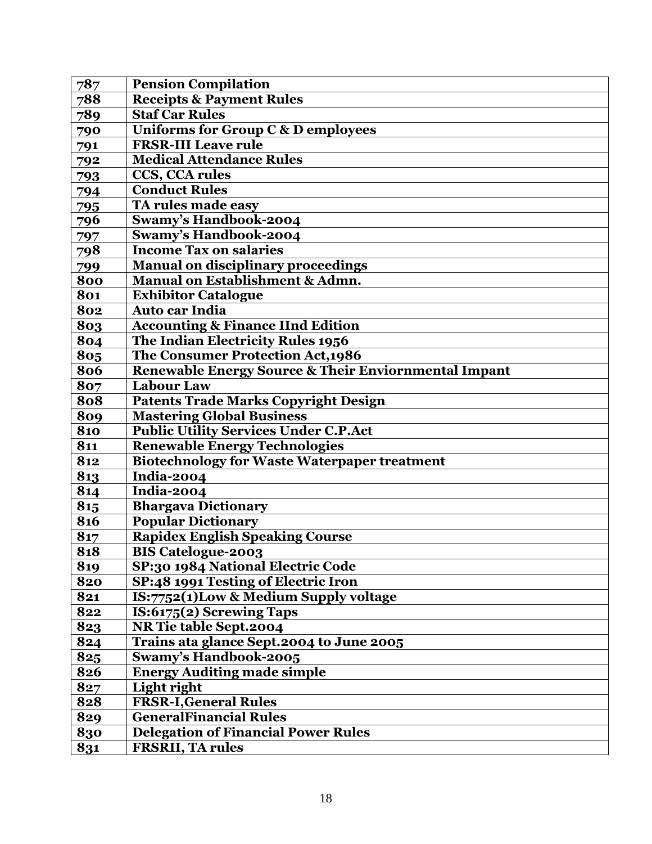| 787 | <b>Pension Compilation</b>                           |
|-----|------------------------------------------------------|
| 788 | <b>Receipts &amp; Payment Rules</b>                  |
| 789 | <b>Staf Car Rules</b>                                |
| 790 | Uniforms for Group C & D employees                   |
| 791 | <b>FRSR-III Leave rule</b>                           |
| 792 | <b>Medical Attendance Rules</b>                      |
| 793 | CCS, CCA rules                                       |
| 794 | <b>Conduct Rules</b>                                 |
| 795 | TA rules made easy                                   |
| 796 | <b>Swamy's Handbook-2004</b>                         |
| 797 | <b>Swamy's Handbook-2004</b>                         |
| 798 | <b>Income Tax on salaries</b>                        |
| 799 | <b>Manual on disciplinary proceedings</b>            |
| 800 | Manual on Establishment & Admn.                      |
| 801 | <b>Exhibitor Catalogue</b>                           |
| 802 | <b>Auto car India</b>                                |
| 803 | <b>Accounting &amp; Finance IInd Edition</b>         |
| 804 | The Indian Electricity Rules 1956                    |
| 805 | The Consumer Protection Act, 1986                    |
| 806 | Renewable Energy Source & Their Enviornmental Impant |
| 807 | <b>Labour Law</b>                                    |
| 808 | <b>Patents Trade Marks Copyright Design</b>          |
| 809 | <b>Mastering Global Business</b>                     |
| 810 | <b>Public Utility Services Under C.P.Act</b>         |
| 811 | <b>Renewable Energy Technologies</b>                 |
| 812 | <b>Biotechnology for Waste Waterpaper treatment</b>  |
| 813 | <b>India-2004</b>                                    |
| 814 | India-2004                                           |
| 815 | <b>Bhargava Dictionary</b>                           |
| 816 | Popular Dictionary                                   |
| 817 | <b>Rapidex English Speaking Course</b>               |
| 818 | <b>BIS Catelogue-2003</b>                            |
| 819 | SP:30 1984 National Electric Code                    |
| 820 | SP:48 1991 Testing of Electric Iron                  |
| 821 | IS:7752(1)Low & Medium Supply voltage                |
| 822 | IS:6175(2) Screwing Taps                             |
| 823 | NR Tie table Sept.2004                               |
| 824 | Trains ata glance Sept. 2004 to June 2005            |
| 825 | Swamy's Handbook-2005                                |
| 826 | <b>Energy Auditing made simple</b>                   |
| 827 | Light right                                          |
| 828 | <b>FRSR-I, General Rules</b>                         |
| 829 | <b>GeneralFinancial Rules</b>                        |
| 830 | <b>Delegation of Financial Power Rules</b>           |
| 831 | <b>FRSRII, TA rules</b>                              |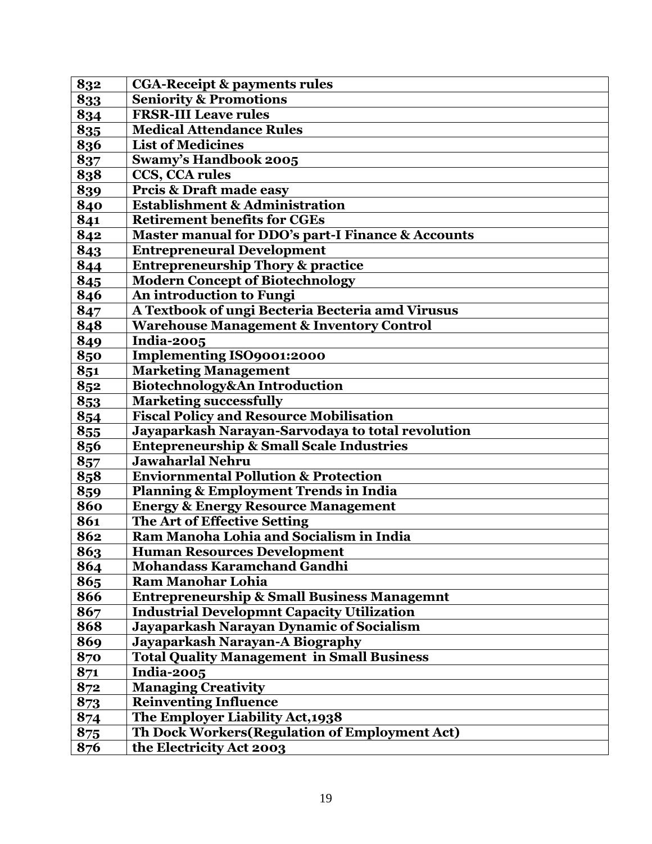| 832 | <b>CGA-Receipt &amp; payments rules</b>                |
|-----|--------------------------------------------------------|
| 833 | <b>Seniority &amp; Promotions</b>                      |
| 834 | <b>FRSR-III Leave rules</b>                            |
| 835 | <b>Medical Attendance Rules</b>                        |
| 836 | <b>List of Medicines</b>                               |
| 837 | <b>Swamy's Handbook 2005</b>                           |
| 838 | CCS, CCA rules                                         |
| 839 | Prcis & Draft made easy                                |
| 840 | <b>Establishment &amp; Administration</b>              |
| 841 | <b>Retirement benefits for CGEs</b>                    |
| 842 | Master manual for DDO's part-I Finance & Accounts      |
| 843 | <b>Entrepreneural Development</b>                      |
| 844 | <b>Entrepreneurship Thory &amp; practice</b>           |
| 845 | <b>Modern Concept of Biotechnology</b>                 |
| 846 | An introduction to Fungi                               |
| 847 | A Textbook of ungi Becteria Becteria amd Virusus       |
| 848 | <b>Warehouse Management &amp; Inventory Control</b>    |
| 849 | <b>India-2005</b>                                      |
| 850 | <b>Implementing ISO9001:2000</b>                       |
| 851 | <b>Marketing Management</b>                            |
| 852 | Biotechnology&An Introduction                          |
| 853 | <b>Marketing successfully</b>                          |
| 854 | <b>Fiscal Policy and Resource Mobilisation</b>         |
| 855 | Jayaparkash Narayan-Sarvodaya to total revolution      |
| 856 | <b>Entepreneurship &amp; Small Scale Industries</b>    |
| 857 | <b>Jawaharlal Nehru</b>                                |
| 858 | <b>Enviornmental Pollution &amp; Protection</b>        |
| 859 | <b>Planning &amp; Employment Trends in India</b>       |
| 860 | <b>Energy &amp; Energy Resource Management</b>         |
| 861 | The Art of Effective Setting                           |
| 862 | Ram Manoha Lohia and Socialism in India                |
| 863 | <b>Human Resources Development</b>                     |
| 864 | <b>Mohandass Karamchand Gandhi</b>                     |
| 865 | <b>Ram Manohar Lohia</b>                               |
| 866 | <b>Entrepreneurship &amp; Small Business Managemnt</b> |
| 867 | <b>Industrial Developmnt Capacity Utilization</b>      |
| 868 | Jayaparkash Narayan Dynamic of Socialism               |
| 869 | Jayaparkash Narayan-A Biography                        |
| 870 | <b>Total Quality Management in Small Business</b>      |
| 871 | <b>India-2005</b>                                      |
| 872 | <b>Managing Creativity</b>                             |
| 873 | <b>Reinventing Influence</b>                           |
| 874 | The Employer Liability Act, 1938                       |
| 875 | Th Dock Workers (Regulation of Employment Act)         |
| 876 | the Electricity Act 2003                               |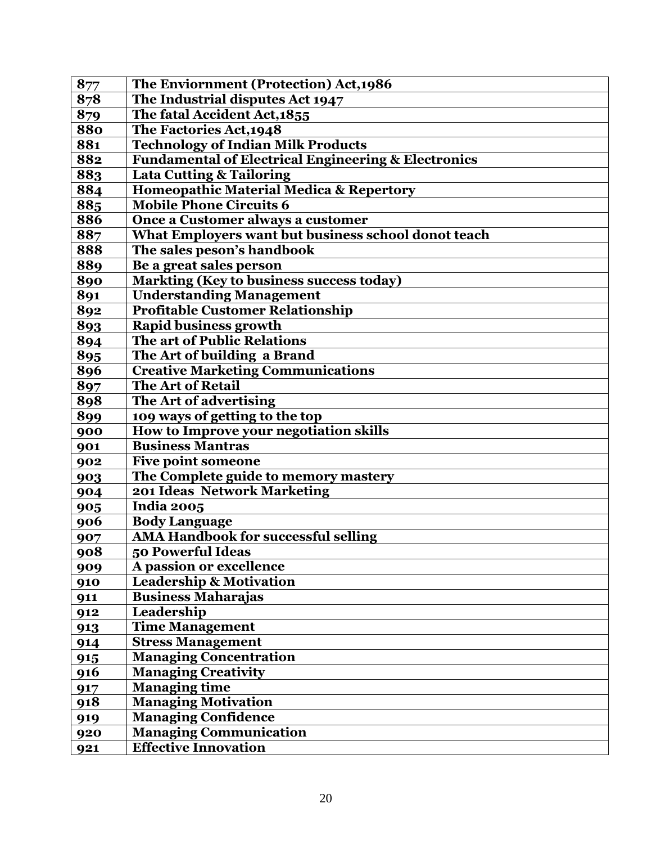| 877 | The Enviornment (Protection) Act, 1986                         |
|-----|----------------------------------------------------------------|
| 878 | The Industrial disputes Act 1947                               |
| 879 | The fatal Accident Act, 1855                                   |
| 880 | The Factories Act, 1948                                        |
| 881 | <b>Technology of Indian Milk Products</b>                      |
| 882 | <b>Fundamental of Electrical Engineering &amp; Electronics</b> |
| 883 | <b>Lata Cutting &amp; Tailoring</b>                            |
| 884 | Homeopathic Material Medica & Repertory                        |
| 885 | <b>Mobile Phone Circuits 6</b>                                 |
| 886 | Once a Customer always a customer                              |
| 887 | What Employers want but business school donot teach            |
| 888 | The sales peson's handbook                                     |
| 889 | Be a great sales person                                        |
| 890 | <b>Markting (Key to business success today)</b>                |
| 891 | <b>Understanding Management</b>                                |
| 892 | <b>Profitable Customer Relationship</b>                        |
| 893 | <b>Rapid business growth</b>                                   |
| 894 | The art of Public Relations                                    |
| 895 | The Art of building a Brand                                    |
| 896 | <b>Creative Marketing Communications</b>                       |
| 897 | <b>The Art of Retail</b>                                       |
| 898 | The Art of advertising                                         |
| 899 | 109 ways of getting to the top                                 |
| 900 | How to Improve your negotiation skills                         |
| 901 | <b>Business Mantras</b>                                        |
| 902 | Five point someone                                             |
| 903 | The Complete guide to memory mastery                           |
| 904 | 201 Ideas Network Marketing                                    |
| 905 | <b>India 2005</b>                                              |
| 906 | <b>Body Language</b>                                           |
| 907 | <b>AMA Handbook for successful selling</b>                     |
| 908 | 50 Powerful Ideas                                              |
| 909 | A passion or excellence                                        |
| 910 | <b>Leadership &amp; Motivation</b>                             |
| 911 | <b>Business Maharajas</b>                                      |
| 912 | Leadership                                                     |
| 913 | <b>Time Management</b>                                         |
| 914 | <b>Stress Management</b>                                       |
| 915 | <b>Managing Concentration</b>                                  |
| 916 | <b>Managing Creativity</b>                                     |
| 917 | <b>Managing time</b>                                           |
| 918 | <b>Managing Motivation</b>                                     |
| 919 | <b>Managing Confidence</b>                                     |
| 920 | <b>Managing Communication</b>                                  |
| 921 | <b>Effective Innovation</b>                                    |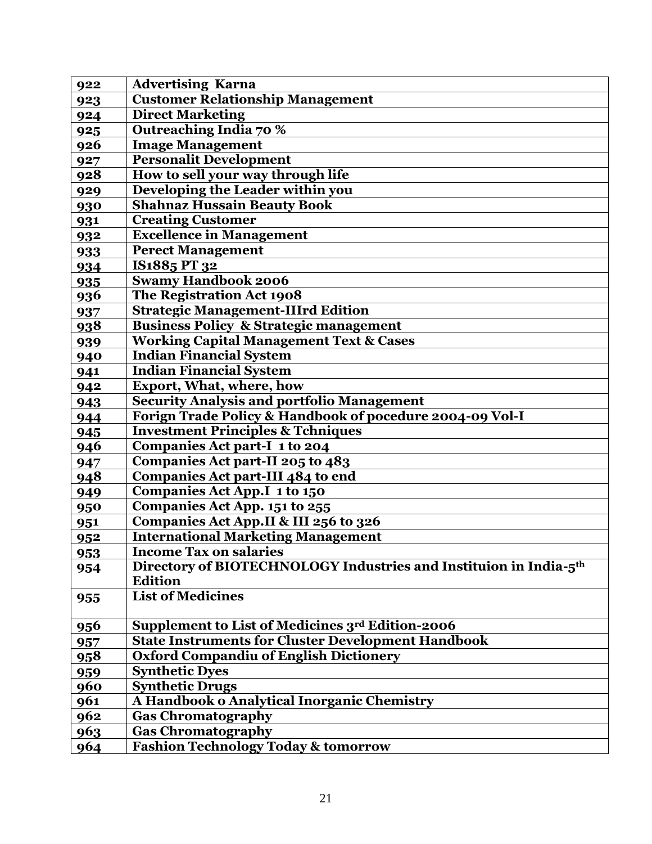| 922 | <b>Advertising Karna</b>                                                      |
|-----|-------------------------------------------------------------------------------|
| 923 | <b>Customer Relationship Management</b>                                       |
| 924 | <b>Direct Marketing</b>                                                       |
| 925 | Outreaching India 70 %                                                        |
| 926 | <b>Image Management</b>                                                       |
| 927 | <b>Personalit Development</b>                                                 |
| 928 | How to sell your way through life                                             |
| 929 | Developing the Leader within you                                              |
| 930 | <b>Shahnaz Hussain Beauty Book</b>                                            |
| 931 | <b>Creating Customer</b>                                                      |
| 932 | <b>Excellence in Management</b>                                               |
| 933 | <b>Perect Management</b>                                                      |
| 934 | IS1885 PT 32                                                                  |
| 935 | <b>Swamy Handbook 2006</b>                                                    |
| 936 | The Registration Act 1908                                                     |
| 937 | <b>Strategic Management-IIIrd Edition</b>                                     |
| 938 | <b>Business Policy &amp; Strategic management</b>                             |
| 939 | <b>Working Capital Management Text &amp; Cases</b>                            |
| 940 | <b>Indian Financial System</b>                                                |
| 941 | <b>Indian Financial System</b>                                                |
| 942 | <b>Export, What, where, how</b>                                               |
| 943 | <b>Security Analysis and portfolio Management</b>                             |
| 944 | Forign Trade Policy & Handbook of pocedure 2004-09 Vol-I                      |
| 945 | <b>Investment Principles &amp; Tchniques</b>                                  |
| 946 | <b>Companies Act part-I 1 to 204</b>                                          |
| 947 | Companies Act part-II 205 to 483                                              |
| 948 | Companies Act part-III 484 to end                                             |
| 949 | Companies Act App.I 1 to 150                                                  |
| 950 | <b>Companies Act App. 151 to 255</b>                                          |
| 951 | Companies Act App.II & III 256 to 326                                         |
| 952 | <b>International Marketing Management</b>                                     |
| 953 | <b>Income Tax on salaries</b>                                                 |
| 954 | Directory of BIOTECHNOLOGY Industries and Instituion in India-5 <sup>th</sup> |
|     | <b>Edition</b>                                                                |
| 955 | <b>List of Medicines</b>                                                      |
| 956 | Supplement to List of Medicines 3rd Edition-2006                              |
| 957 | <b>State Instruments for Cluster Development Handbook</b>                     |
| 958 | <b>Oxford Compandiu of English Dictionery</b>                                 |
| 959 | <b>Synthetic Dyes</b>                                                         |
| 960 | <b>Synthetic Drugs</b>                                                        |
| 961 | A Handbook o Analytical Inorganic Chemistry                                   |
| 962 | <b>Gas Chromatography</b>                                                     |
| 963 | <b>Gas Chromatography</b>                                                     |
| 964 | <b>Fashion Technology Today &amp; tomorrow</b>                                |
|     |                                                                               |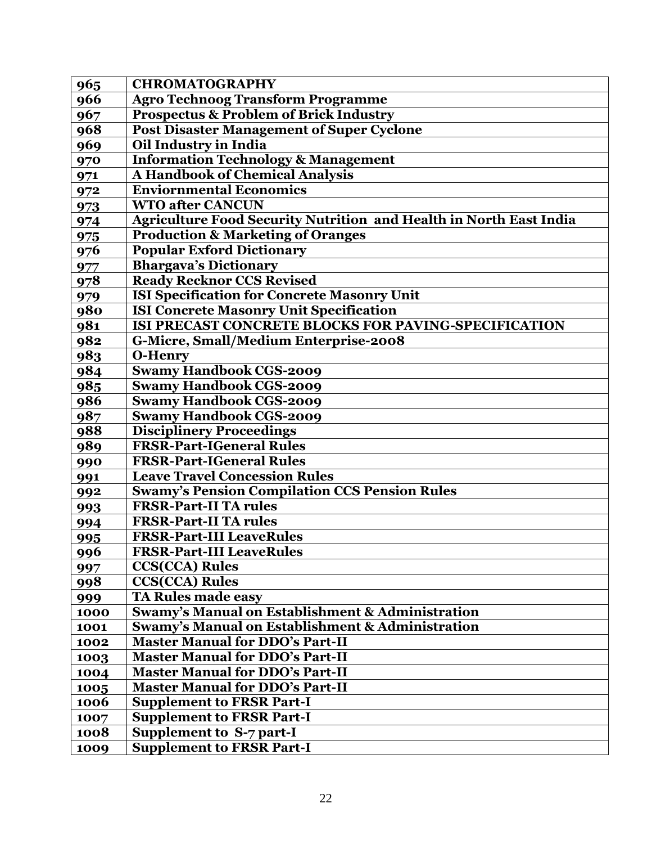| 965  | <b>CHROMATOGRAPHY</b>                                                     |
|------|---------------------------------------------------------------------------|
| 966  | <b>Agro Technoog Transform Programme</b>                                  |
| 967  | <b>Prospectus &amp; Problem of Brick Industry</b>                         |
| 968  | <b>Post Disaster Management of Super Cyclone</b>                          |
| 969  | Oil Industry in India                                                     |
| 970  | <b>Information Technology &amp; Management</b>                            |
| 971  | A Handbook of Chemical Analysis                                           |
| 972  | <b>Enviornmental Economics</b>                                            |
| 973  | <b>WTO after CANCUN</b>                                                   |
| 974  | <b>Agriculture Food Security Nutrition and Health in North East India</b> |
| 975  | <b>Production &amp; Marketing of Oranges</b>                              |
| 976  | <b>Popular Exford Dictionary</b>                                          |
| 977  | <b>Bhargava's Dictionary</b>                                              |
| 978  | <b>Ready Recknor CCS Revised</b>                                          |
| 979  | <b>ISI Specification for Concrete Masonry Unit</b>                        |
| 980  | <b>ISI Concrete Masonry Unit Specification</b>                            |
| 981  | ISI PRECAST CONCRETE BLOCKS FOR PAVING-SPECIFICATION                      |
| 982  | G-Micre, Small/Medium Enterprise-2008                                     |
| 983  | <b>O-Henry</b>                                                            |
| 984  | <b>Swamy Handbook CGS-2009</b>                                            |
| 985  | <b>Swamy Handbook CGS-2009</b>                                            |
| 986  | <b>Swamy Handbook CGS-2009</b>                                            |
| 987  | <b>Swamy Handbook CGS-2009</b>                                            |
| 988  | <b>Disciplinery Proceedings</b>                                           |
| 989  | <b>FRSR-Part-IGeneral Rules</b>                                           |
| 990  | <b>FRSR-Part-IGeneral Rules</b>                                           |
| 991  | <b>Leave Travel Concession Rules</b>                                      |
| 992  | <b>Swamy's Pension Compilation CCS Pension Rules</b>                      |
| 993  | <b>FRSR-Part-II TA rules</b>                                              |
| 994  | <b>FRSR-Part-II TA rules</b>                                              |
| 995  | <b>FRSR-Part-III LeaveRules</b>                                           |
| 996  | <b>FRSR-Part-III LeaveRules</b>                                           |
| 997  | <b>CCS(CCA)</b> Rules                                                     |
| 998  | <b>CCS(CCA)</b> Rules                                                     |
| 999  | <b>TA Rules made easy</b>                                                 |
| 1000 | Swamy's Manual on Establishment & Administration                          |
| 1001 | <b>Swamy's Manual on Establishment &amp; Administration</b>               |
| 1002 | <b>Master Manual for DDO's Part-II</b>                                    |
| 1003 | <b>Master Manual for DDO's Part-II</b>                                    |
| 1004 | <b>Master Manual for DDO's Part-II</b>                                    |
| 1005 | <b>Master Manual for DDO's Part-II</b>                                    |
| 1006 | <b>Supplement to FRSR Part-I</b>                                          |
| 1007 | <b>Supplement to FRSR Part-I</b>                                          |
| 1008 | Supplement to S-7 part-I                                                  |
| 1009 | <b>Supplement to FRSR Part-I</b>                                          |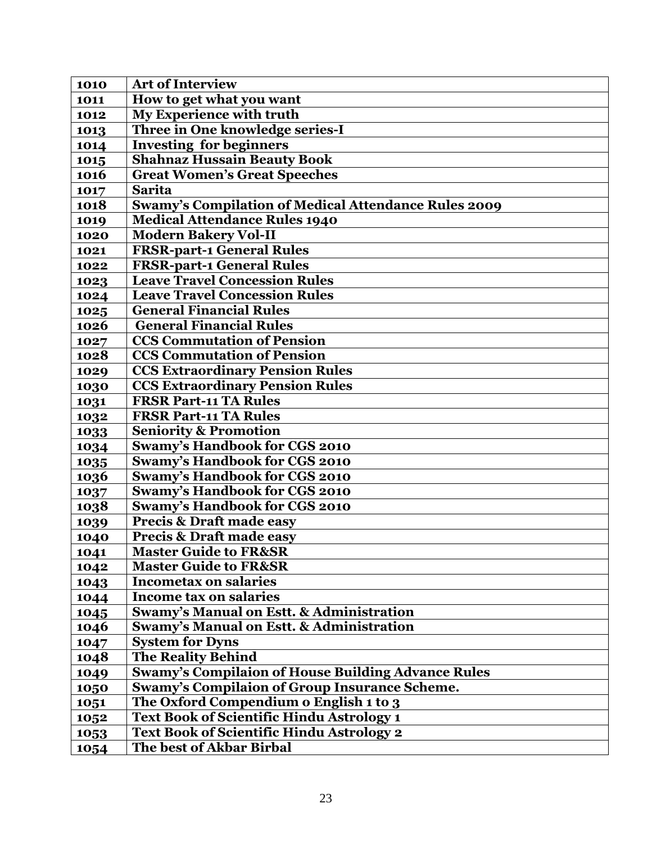| 1010 | <b>Art of Interview</b>                                     |
|------|-------------------------------------------------------------|
| 1011 | How to get what you want                                    |
| 1012 | <b>My Experience with truth</b>                             |
| 1013 | Three in One knowledge series-I                             |
| 1014 | <b>Investing for beginners</b>                              |
| 1015 | <b>Shahnaz Hussain Beauty Book</b>                          |
| 1016 | <b>Great Women's Great Speeches</b>                         |
| 1017 | <b>Sarita</b>                                               |
| 1018 | <b>Swamy's Compilation of Medical Attendance Rules 2009</b> |
| 1019 | <b>Medical Attendance Rules 1940</b>                        |
| 1020 | <b>Modern Bakery Vol-II</b>                                 |
| 1021 | <b>FRSR-part-1 General Rules</b>                            |
| 1022 | <b>FRSR-part-1 General Rules</b>                            |
| 1023 | <b>Leave Travel Concession Rules</b>                        |
| 1024 | <b>Leave Travel Concession Rules</b>                        |
| 1025 | <b>General Financial Rules</b>                              |
| 1026 | <b>General Financial Rules</b>                              |
| 1027 | <b>CCS Commutation of Pension</b>                           |
| 1028 | <b>CCS Commutation of Pension</b>                           |
| 1029 | <b>CCS Extraordinary Pension Rules</b>                      |
| 1030 | <b>CCS Extraordinary Pension Rules</b>                      |
| 1031 | <b>FRSR Part-11 TA Rules</b>                                |
| 1032 | <b>FRSR Part-11 TA Rules</b>                                |
| 1033 | <b>Seniority &amp; Promotion</b>                            |
| 1034 | Swamy's Handbook for CGS 2010                               |
| 1035 | <b>Swamy's Handbook for CGS 2010</b>                        |
| 1036 | <b>Swamy's Handbook for CGS 2010</b>                        |
| 1037 | <b>Swamy's Handbook for CGS 2010</b>                        |
| 1038 | <b>Swamy's Handbook for CGS 2010</b>                        |
| 1039 | <b>Precis &amp; Draft made easy</b>                         |
| 1040 | <b>Precis &amp; Draft made easy</b>                         |
| 1041 | <b>Master Guide to FR&amp;SR</b>                            |
| 1042 | <b>Master Guide to FR&amp;SR</b>                            |
| 1043 | <b>Incometax on salaries</b>                                |
| 1044 | <b>Income tax on salaries</b>                               |
| 1045 | Swamy's Manual on Estt. & Administration                    |
| 1046 | <b>Swamy's Manual on Estt. &amp; Administration</b>         |
| 1047 | <b>System for Dyns</b>                                      |
| 1048 | <b>The Reality Behind</b>                                   |
| 1049 | <b>Swamy's Compilaion of House Building Advance Rules</b>   |
| 1050 | <b>Swamy's Compilaion of Group Insurance Scheme.</b>        |
| 1051 | The Oxford Compendium o English 1 to 3                      |
| 1052 | Text Book of Scientific Hindu Astrology 1                   |
| 1053 | Text Book of Scientific Hindu Astrology 2                   |
| 1054 | The best of Akbar Birbal                                    |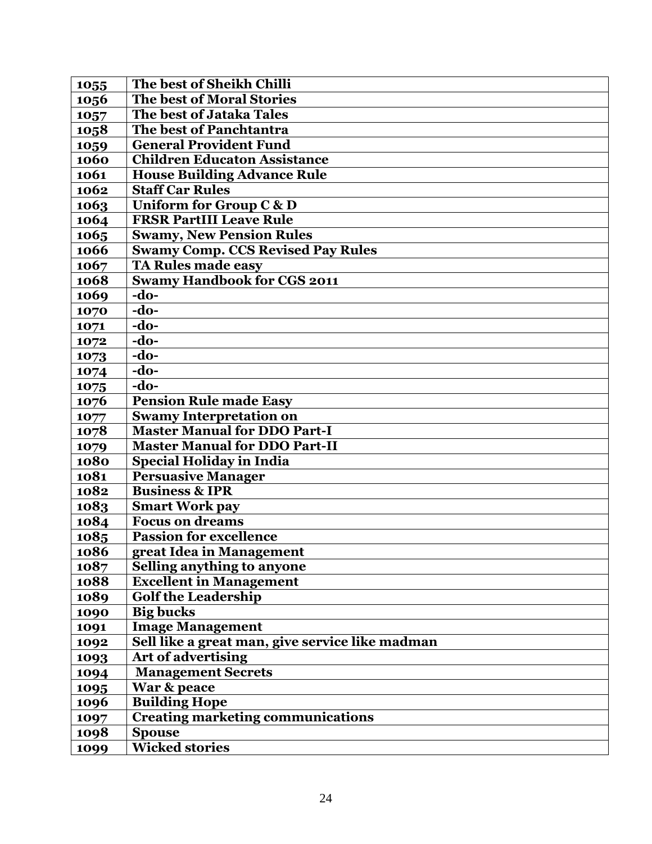| 1055 | The best of Sheikh Chilli                       |
|------|-------------------------------------------------|
| 1056 | <b>The best of Moral Stories</b>                |
| 1057 | The best of Jataka Tales                        |
| 1058 | The best of Panchtantra                         |
| 1059 | <b>General Provident Fund</b>                   |
| 1060 | <b>Children Educaton Assistance</b>             |
| 1061 | <b>House Building Advance Rule</b>              |
| 1062 | <b>Staff Car Rules</b>                          |
| 1063 | Uniform for Group C & D                         |
| 1064 | <b>FRSR PartIII Leave Rule</b>                  |
| 1065 | <b>Swamy, New Pension Rules</b>                 |
| 1066 | <b>Swamy Comp. CCS Revised Pay Rules</b>        |
| 1067 | <b>TA Rules made easy</b>                       |
| 1068 | <b>Swamy Handbook for CGS 2011</b>              |
| 1069 | $-do-$                                          |
| 1070 | $-do-$                                          |
| 1071 | -do-                                            |
| 1072 | $-do-$                                          |
| 1073 | $-do-$                                          |
| 1074 | -do-                                            |
| 1075 | $-do-$                                          |
| 1076 | <b>Pension Rule made Easy</b>                   |
| 1077 | <b>Swamy Interpretation on</b>                  |
| 1078 | <b>Master Manual for DDO Part-I</b>             |
| 1079 | <b>Master Manual for DDO Part-II</b>            |
| 1080 | <b>Special Holiday in India</b>                 |
| 1081 | <b>Persuasive Manager</b>                       |
| 1082 | <b>Business &amp; IPR</b>                       |
| 1083 | <b>Smart Work pay</b>                           |
| 1084 | <b>Focus on dreams</b>                          |
| 1085 | <b>Passion for excellence</b>                   |
| 1086 | great Idea in Management                        |
| 1087 | <b>Selling anything to anyone</b>               |
| 1088 | <b>Excellent in Management</b>                  |
| 1089 | <b>Golf the Leadership</b>                      |
| 1090 | <b>Big bucks</b>                                |
| 1091 | <b>Image Management</b>                         |
| 1092 | Sell like a great man, give service like madman |
| 1093 | <b>Art of advertising</b>                       |
| 1094 | <b>Management Secrets</b>                       |
| 1095 | War & peace                                     |
| 1096 | <b>Building Hope</b>                            |
| 1097 | <b>Creating marketing communications</b>        |
| 1098 | <b>Spouse</b>                                   |
| 1099 | <b>Wicked stories</b>                           |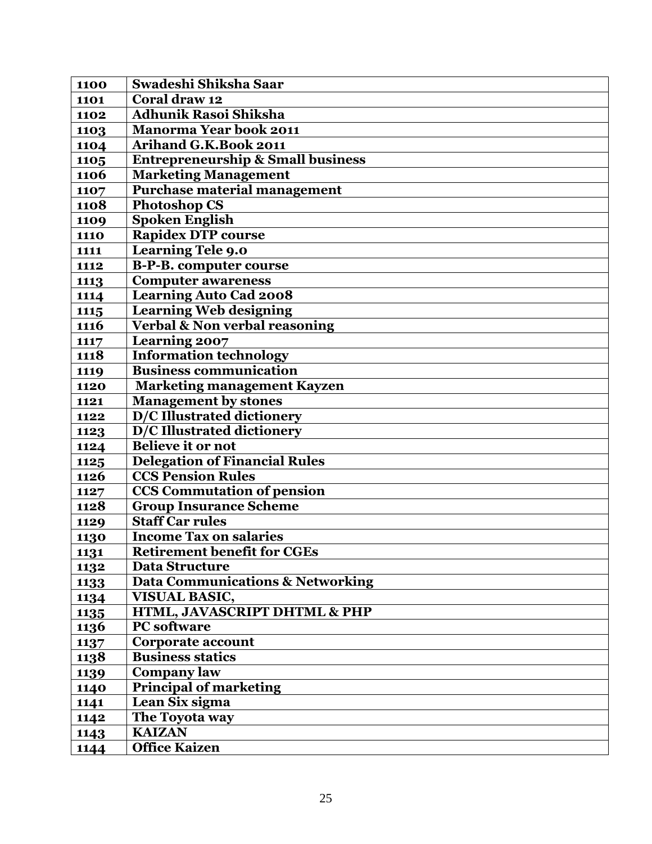| 1100        | Swadeshi Shiksha Saar                        |
|-------------|----------------------------------------------|
| 1101        | Coral draw 12                                |
| 1102        | <b>Adhunik Rasoi Shiksha</b>                 |
| 1103        | <b>Manorma Year book 2011</b>                |
| 1104        | <b>Arihand G.K.Book 2011</b>                 |
| 1105        | <b>Entrepreneurship &amp; Small business</b> |
| 1106        | <b>Marketing Management</b>                  |
| 1107        | <b>Purchase material management</b>          |
| 1108        | <b>Photoshop CS</b>                          |
| 1109        | <b>Spoken English</b>                        |
| <b>1110</b> | Rapidex DTP course                           |
| 1111        | Learning Tele 9.0                            |
| 1112        | <b>B-P-B.</b> computer course                |
| 1113        | <b>Computer awareness</b>                    |
| 1114        | <b>Learning Auto Cad 2008</b>                |
| 1115        | <b>Learning Web designing</b>                |
| 1116        | <b>Verbal &amp; Non verbal reasoning</b>     |
| 1117        | <b>Learning 2007</b>                         |
| 1118        | <b>Information technology</b>                |
| 1119        | <b>Business communication</b>                |
| 1120        | <b>Marketing management Kayzen</b>           |
| 1121        | <b>Management by stones</b>                  |
| 1122        | <b>D/C Illustrated dictionery</b>            |
| 1123        | D/C Illustrated dictionery                   |
| 1124        | <b>Believe it or not</b>                     |
| 1125        | <b>Delegation of Financial Rules</b>         |
| 1126        | <b>CCS Pension Rules</b>                     |
| 1127        | <b>CCS</b> Commutation of pension            |
| 1128        | <b>Group Insurance Scheme</b>                |
| 1129        | <b>Staff Car rules</b>                       |
| 1130        | <b>Income Tax on salaries</b>                |
| 1131        | <b>Retirement benefit for CGEs</b>           |
| 1132        | Data Structure                               |
| 1133        | Data Communications & Networking             |
| 1134        | <b>VISUAL BASIC,</b>                         |
| 1135        | HTML, JAVASCRIPT DHTML & PHP                 |
| 1136        | <b>PC</b> software                           |
| 1137        | <b>Corporate account</b>                     |
| <b>1138</b> | <b>Business statics</b>                      |
| 1139        | <b>Company law</b>                           |
| 1140        | Principal of marketing                       |
| 1141        | Lean Six sigma                               |
| 1142        | The Toyota way                               |
| 1143        | <b>KAIZAN</b>                                |
| 1144        | Office Kaizen                                |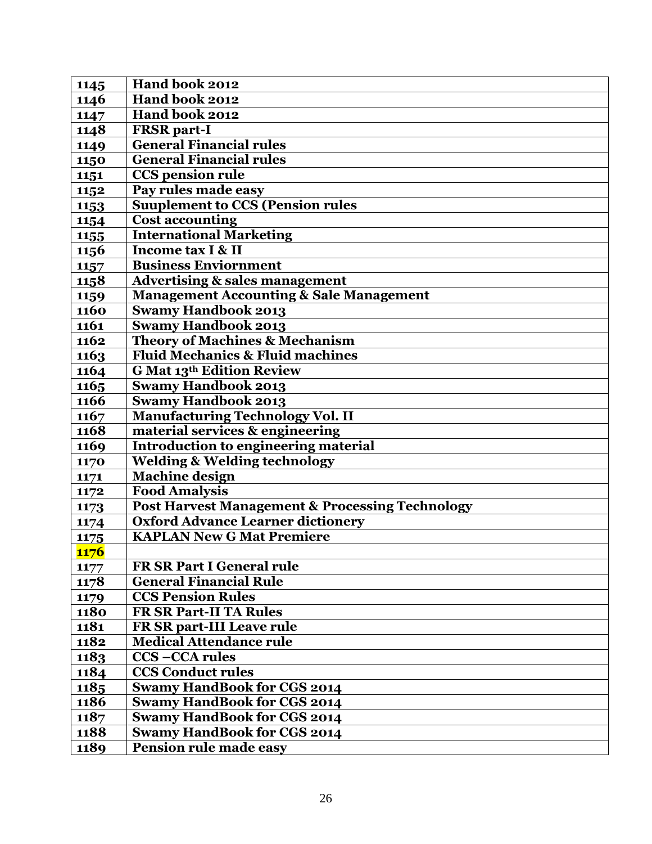| 1145        | Hand book 2012                                             |
|-------------|------------------------------------------------------------|
| 1146        | Hand book 2012                                             |
| 1147        | Hand book 2012                                             |
| 1148        | <b>FRSR</b> part-I                                         |
| 1149        | <b>General Financial rules</b>                             |
| 1150        | <b>General Financial rules</b>                             |
| 1151        | <b>CCS</b> pension rule                                    |
| 1152        | Pay rules made easy                                        |
| 1153        | <b>Suuplement to CCS (Pension rules</b>                    |
| 1154        | <b>Cost accounting</b>                                     |
| 1155        | <b>International Marketing</b>                             |
| 1156        | Income tax I & II                                          |
| 1157        | <b>Business Enviornment</b>                                |
| 1158        | <b>Advertising &amp; sales management</b>                  |
| 1159        | <b>Management Accounting &amp; Sale Management</b>         |
| 1160        | <b>Swamy Handbook 2013</b>                                 |
| 1161        | <b>Swamy Handbook 2013</b>                                 |
| 1162        | <b>Theory of Machines &amp; Mechanism</b>                  |
| 1163        | <b>Fluid Mechanics &amp; Fluid machines</b>                |
| 1164        | <b>G Mat 13th Edition Review</b>                           |
| 1165        | <b>Swamy Handbook 2013</b>                                 |
| 1166        | <b>Swamy Handbook 2013</b>                                 |
| 1167        | <b>Manufacturing Technology Vol. II</b>                    |
| 1168        | material services & engineering                            |
| 1169        | <b>Introduction to engineering material</b>                |
| 1170        | <b>Welding &amp; Welding technology</b>                    |
| 1171        | <b>Machine design</b>                                      |
| 1172        | <b>Food Amalysis</b>                                       |
| 1173        | <b>Post Harvest Management &amp; Processing Technology</b> |
| 1174        | <b>Oxford Advance Learner dictionery</b>                   |
| 1175        | <b>KAPLAN New G Mat Premiere</b>                           |
| <b>1176</b> |                                                            |
| 1177        | FR SR Part I General rule                                  |
| 1178        | <b>General Financial Rule</b>                              |
| 1179        | <b>CCS Pension Rules</b>                                   |
| 1180        | <b>FR SR Part-II TA Rules</b>                              |
| 1181        | FR SR part-III Leave rule                                  |
| 1182        | <b>Medical Attendance rule</b>                             |
| 1183        | <b>CCS-CCA rules</b>                                       |
| 1184        | <b>CCS Conduct rules</b>                                   |
| 1185        | <b>Swamy HandBook for CGS 2014</b>                         |
| 1186        | <b>Swamy HandBook for CGS 2014</b>                         |
| 1187        | <b>Swamy HandBook for CGS 2014</b>                         |
| 1188        | <b>Swamy HandBook for CGS 2014</b>                         |
| 1189        | Pension rule made easy                                     |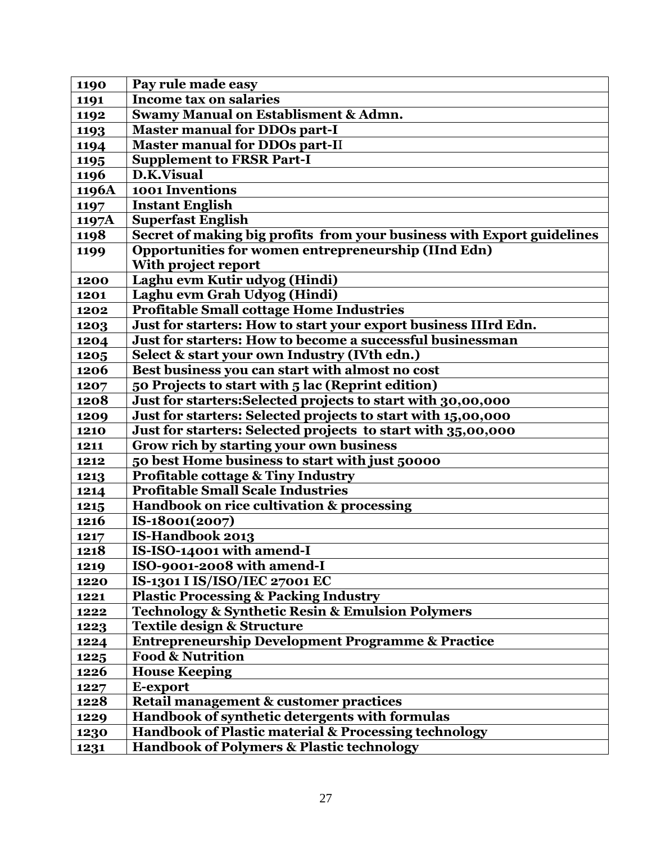| 1190  | Pay rule made easy                                                     |
|-------|------------------------------------------------------------------------|
| 1191  | Income tax on salaries                                                 |
| 1192  | <b>Swamy Manual on Establisment &amp; Admn.</b>                        |
| 1193  | <b>Master manual for DDOs part-I</b>                                   |
| 1194  | <b>Master manual for DDOs part-II</b>                                  |
| 1195  | <b>Supplement to FRSR Part-I</b>                                       |
| 1196  | D.K.Visual                                                             |
| 1196A | 1001 Inventions                                                        |
| 1197  | <b>Instant English</b>                                                 |
| 1197A | <b>Superfast English</b>                                               |
| 1198  | Secret of making big profits from your business with Export guidelines |
| 1199  | Opportunities for women entrepreneurship (IInd Edn)                    |
|       | With project report                                                    |
| 1200  | Laghu evm Kutir udyog (Hindi)                                          |
| 1201  | Laghu evm Grah Udyog (Hindi)                                           |
| 1202  | <b>Profitable Small cottage Home Industries</b>                        |
| 1203  | Just for starters: How to start your export business IIIrd Edn.        |
| 1204  | Just for starters: How to become a successful businessman              |
| 1205  | Select & start your own Industry (IVth edn.)                           |
| 1206  | Best business you can start with almost no cost                        |
| 1207  | 50 Projects to start with 5 lac (Reprint edition)                      |
| 1208  | Just for starters:Selected projects to start with 30,00,000            |
| 1209  | Just for starters: Selected projects to start with 15,00,000           |
| 1210  | Just for starters: Selected projects to start with 35,00,000           |
| 1211  | Grow rich by starting your own business                                |
| 1212  | 50 best Home business to start with just 50000                         |
| 1213  | <b>Profitable cottage &amp; Tiny Industry</b>                          |
| 1214  | <b>Profitable Small Scale Industries</b>                               |
| 1215  | Handbook on rice cultivation & processing                              |
| 1216  | IS-18001(2007)                                                         |
| 1217  | IS-Handbook 2013                                                       |
| 1218  | IS-ISO-14001 with amend-I                                              |
| 1219  | ISO-9001-2008 with amend-I                                             |
| 1220  | IS-1301 I IS/ISO/IEC 27001 EC                                          |
| 1221  | <b>Plastic Processing &amp; Packing Industry</b>                       |
| 1222  | <b>Technology &amp; Synthetic Resin &amp; Emulsion Polymers</b>        |
| 1223  | Textile design & Structure                                             |
| 1224  | <b>Entrepreneurship Development Programme &amp; Practice</b>           |
| 1225  | <b>Food &amp; Nutrition</b>                                            |
| 1226  | <b>House Keeping</b>                                                   |
| 1227  | E-export                                                               |
| 1228  | Retail management & customer practices                                 |
| 1229  | Handbook of synthetic detergents with formulas                         |
| 1230  | Handbook of Plastic material & Processing technology                   |
| 1231  | <b>Handbook of Polymers &amp; Plastic technology</b>                   |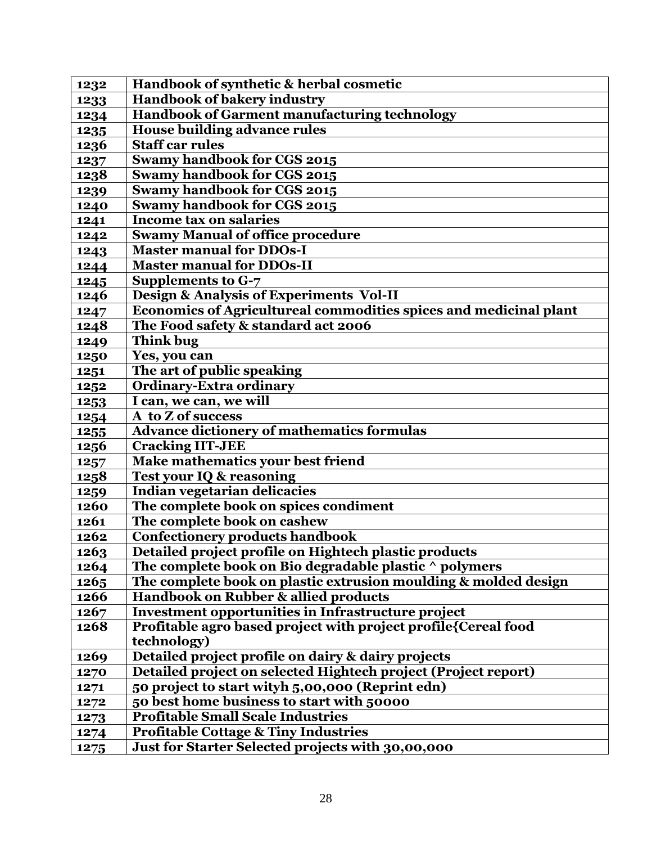| 1232        | Handbook of synthetic & herbal cosmetic                           |
|-------------|-------------------------------------------------------------------|
| 1233        | Handbook of bakery industry                                       |
| 1234        | Handbook of Garment manufacturing technology                      |
| 1235        | <b>House building advance rules</b>                               |
| 1236        | <b>Staff car rules</b>                                            |
| 1237        | <b>Swamy handbook for CGS 2015</b>                                |
| 1238        | Swamy handbook for CGS 2015                                       |
| 1239        | Swamy handbook for CGS 2015                                       |
| 1240        | Swamy handbook for CGS 2015                                       |
| 1241        | <b>Income tax on salaries</b>                                     |
| 1242        | <b>Swamy Manual of office procedure</b>                           |
| 1243        | <b>Master manual for DDOs-I</b>                                   |
| 1244        | <b>Master manual for DDOs-II</b>                                  |
| 1245        | <b>Supplements to G-7</b>                                         |
| 1246        | Design & Analysis of Experiments Vol-II                           |
| 1247        | Economics of Agricultureal commodities spices and medicinal plant |
| 1248        | The Food safety & standard act 2006                               |
| 1249        | <b>Think bug</b>                                                  |
| 1250        | Yes, you can                                                      |
| 1251        | The art of public speaking                                        |
| 1252        | <b>Ordinary-Extra ordinary</b>                                    |
| 1253        | I can, we can, we will                                            |
| 1254        | A to Z of success                                                 |
| 1255        | <b>Advance dictionery of mathematics formulas</b>                 |
| 1256        | <b>Cracking IIT-JEE</b>                                           |
| 1257        | Make mathematics your best friend                                 |
| 1258        | <b>Test your IQ &amp; reasoning</b>                               |
| 1259        | Indian vegetarian delicacies                                      |
| 1260        | The complete book on spices condiment                             |
| 1261        | The complete book on cashew                                       |
| 1262        | Confectionery products handbook                                   |
| <b>1263</b> | Detailed project profile on Hightech plastic products             |
| 1264        | The complete book on Bio degradable plastic ^ polymers            |
| 1265        | The complete book on plastic extrusion moulding & molded design   |
| 1266        | Handbook on Rubber & allied products                              |
| 1267        | Investment opportunities in Infrastructure project                |
| 1268        | Profitable agro based project with project profile{Cereal food    |
|             | technology)                                                       |
| 1269        | Detailed project profile on dairy & dairy projects                |
| 1270        | Detailed project on selected Hightech project (Project report)    |
| 1271        | 50 project to start wityh 5,00,000 (Reprint edn)                  |
| 1272        | 50 best home business to start with 50000                         |
| 1273        | <b>Profitable Small Scale Industries</b>                          |
| 1274        | <b>Profitable Cottage &amp; Tiny Industries</b>                   |
| 1275        | Just for Starter Selected projects with 30,00,000                 |